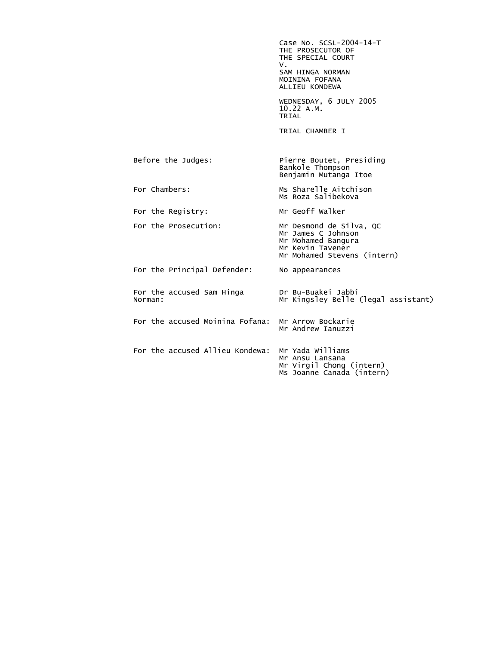Case No. SCSL-2004-14-T THE PROSECUTOR OF THE SPECIAL COURT<br>V. V. SAM HINGA NORMAN MOININA FOFANA ALLIEU KONDEWA WEDNESDAY, 6 JULY 2005 10.22 A.M.<br>TRIAL **TRIAL**  TRIAL CHAMBER I Before the Judges: Pierre Boutet, Presiding Bankole Thompson Benjamin Mutanga Itoe For Chambers: Ms Sharelle Aitchison Ms Roza Salibekova For the Registry: Mr Geoff Walker For the Prosecution: Mr Desmond de Silva, QC Mr James C Johnson Mr Mohamed Bangura Mr Kevin Tavener Mr Mohamed Stevens (intern) For the Principal Defender: No appearances For the accused Sam Hinga Dr Bu-Buakei Jabbi Mr Kingsley Belle (legal assistant) For the accused Moinina Fofana: Mr Arrow Bockarie Mr Andrew Ianuzzi For the accused Allieu Kondewa: Mr Yada Williams Mr Ansu Lansana Mr Virgil Chong (intern) Ms Joanne Canada (intern)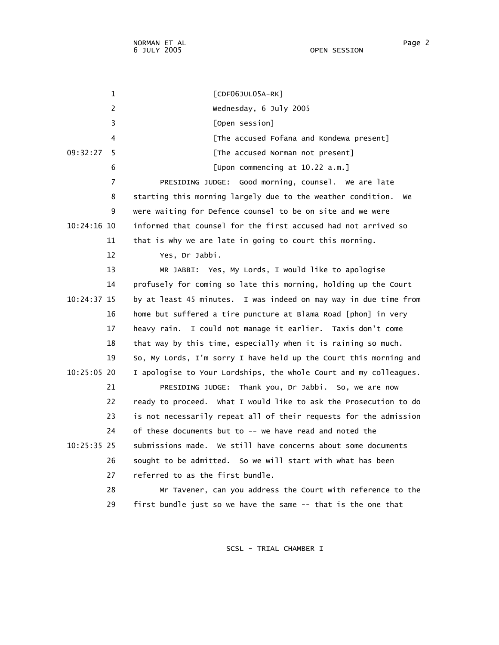1 [CDF06JUL05A-RK] 2 Wednesday, 6 July 2005 3 [Open session] 4 [The accused Fofana and Kondewa present] 09:32:27 5 [The accused Norman not present] 6 [Upon commencing at 10.22 a.m.] 7 PRESIDING JUDGE: Good morning, counsel. We are late 8 starting this morning largely due to the weather condition. We 9 were waiting for Defence counsel to be on site and we were 10:24:16 10 informed that counsel for the first accused had not arrived so 11 that is why we are late in going to court this morning. 12 Yes, Dr Jabbi. 13 MR JABBI: Yes, My Lords, I would like to apologise 14 profusely for coming so late this morning, holding up the Court 10:24:37 15 by at least 45 minutes. I was indeed on may way in due time from 16 home but suffered a tire puncture at Blama Road [phon] in very 17 heavy rain. I could not manage it earlier. Taxis don't come 18 that way by this time, especially when it is raining so much. 19 So, My Lords, I'm sorry I have held up the Court this morning and 10:25:05 20 I apologise to Your Lordships, the whole Court and my colleagues. 21 PRESIDING JUDGE: Thank you, Dr Jabbi. So, we are now 22 ready to proceed. What I would like to ask the Prosecution to do 23 is not necessarily repeat all of their requests for the admission 24 of these documents but to -- we have read and noted the 10:25:35 25 submissions made. We still have concerns about some documents 26 sought to be admitted. So we will start with what has been 27 referred to as the first bundle. 28 Mr Tavener, can you address the Court with reference to the 29 first bundle just so we have the same -- that is the one that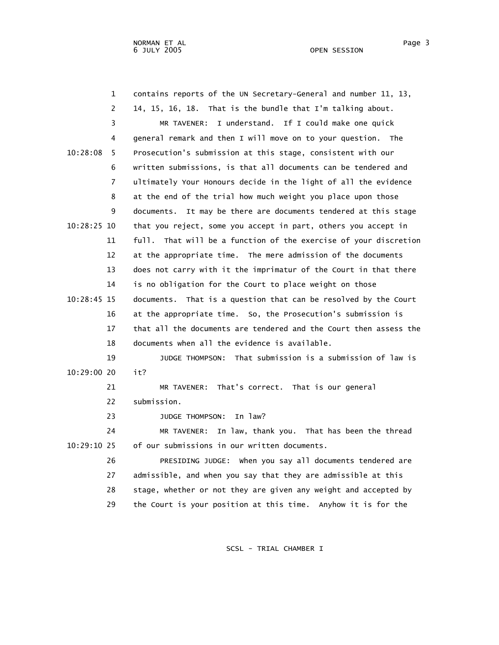| $\mathbf 1$   | contains reports of the UN Secretary-General and number 11, 13,   |
|---------------|-------------------------------------------------------------------|
| 2             | 14, 15, 16, 18. That is the bundle that I'm talking about.        |
| 3             | I understand. If I could make one quick<br>MR TAVENER:            |
| 4             | general remark and then I will move on to your question. The      |
| 10:28:08<br>5 | Prosecution's submission at this stage, consistent with our       |
| 6             | written submissions, is that all documents can be tendered and    |
| 7             | ultimately Your Honours decide in the light of all the evidence   |
| 8             | at the end of the trial how much weight you place upon those      |
| 9             | documents. It may be there are documents tendered at this stage   |
| $10:28:25$ 10 | that you reject, some you accept in part, others you accept in    |
| 11            | full. That will be a function of the exercise of your discretion  |
| 12            | at the appropriate time. The mere admission of the documents      |
| 13            | does not carry with it the imprimatur of the Court in that there  |
| 14            | is no obligation for the Court to place weight on those           |
| 10:28:45 15   | documents. That is a question that can be resolved by the Court   |
| 16            | at the appropriate time. So, the Prosecution's submission is      |
| 17            | that all the documents are tendered and the Court then assess the |
| 18            | documents when all the evidence is available.                     |
| 19            | JUDGE THOMPSON: That submission is a submission of law is         |
| 10:29:00 20   | it?                                                               |
| 21            | MR TAVENER: That's correct. That is our general                   |
| 22            | submission.                                                       |
| 23            | In law?<br><b>JUDGE THOMPSON:</b>                                 |
| 24            | In law, thank you. That has been the thread<br>MR TAVENER:        |
| 10:29:10 25   | of our submissions in our written documents.                      |
| 26            | PRESIDING JUDGE: when you say all documents tendered are          |
| 27            | admissible, and when you say that they are admissible at this     |
| 28            | stage, whether or not they are given any weight and accepted by   |
| 29            | the Court is your position at this time. Anyhow it is for the     |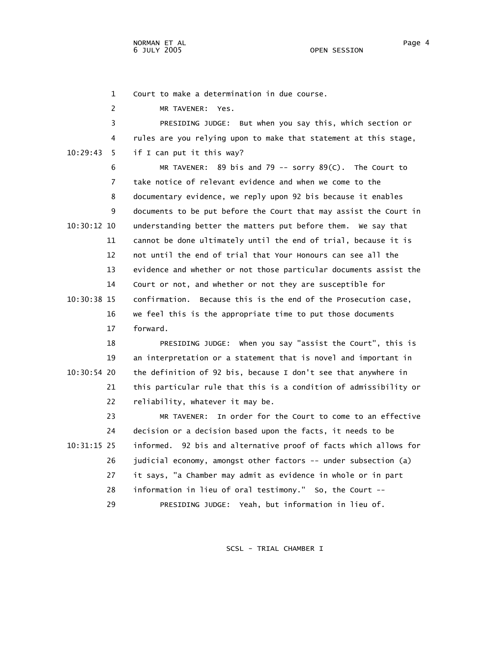NORMAN ET AL Page 4 6 JULY 2005

1 Court to make a determination in due course.

2 MR TAVENER: Yes.

 3 PRESIDING JUDGE: But when you say this, which section or 4 rules are you relying upon to make that statement at this stage, 10:29:43 5 if I can put it this way?

 6 MR TAVENER: 89 bis and 79 -- sorry 89(C). The Court to 7 take notice of relevant evidence and when we come to the 8 documentary evidence, we reply upon 92 bis because it enables 9 documents to be put before the Court that may assist the Court in 10:30:12 10 understanding better the matters put before them. We say that 11 cannot be done ultimately until the end of trial, because it is 12 not until the end of trial that Your Honours can see all the 13 evidence and whether or not those particular documents assist the 14 Court or not, and whether or not they are susceptible for 10:30:38 15 confirmation. Because this is the end of the Prosecution case, 16 we feel this is the appropriate time to put those documents 17 forward.

 18 PRESIDING JUDGE: When you say "assist the Court", this is 19 an interpretation or a statement that is novel and important in 10:30:54 20 the definition of 92 bis, because I don't see that anywhere in 21 this particular rule that this is a condition of admissibility or 22 reliability, whatever it may be.

 23 MR TAVENER: In order for the Court to come to an effective 24 decision or a decision based upon the facts, it needs to be 10:31:15 25 informed. 92 bis and alternative proof of facts which allows for 26 judicial economy, amongst other factors -- under subsection (a) 27 it says, "a Chamber may admit as evidence in whole or in part 28 information in lieu of oral testimony." So, the Court -- 29 PRESIDING JUDGE: Yeah, but information in lieu of.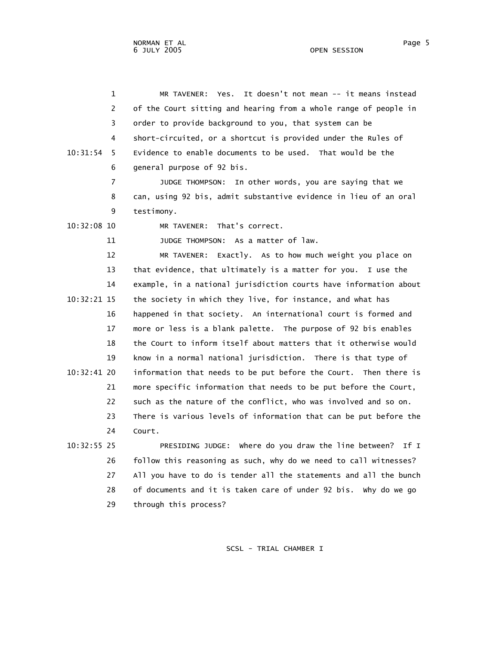1 MR TAVENER: Yes. It doesn't not mean -- it means instead 2 of the Court sitting and hearing from a whole range of people in 3 order to provide background to you, that system can be 4 short-circuited, or a shortcut is provided under the Rules of 10:31:54 5 Evidence to enable documents to be used. That would be the 6 general purpose of 92 bis.

> 7 JUDGE THOMPSON: In other words, you are saying that we 8 can, using 92 bis, admit substantive evidence in lieu of an oral 9 testimony.

10:32:08 10 MR TAVENER: That's correct.

11 JUDGE THOMPSON: As a matter of law.

 12 MR TAVENER: Exactly. As to how much weight you place on 13 that evidence, that ultimately is a matter for you. I use the 14 example, in a national jurisdiction courts have information about 10:32:21 15 the society in which they live, for instance, and what has 16 happened in that society. An international court is formed and 17 more or less is a blank palette. The purpose of 92 bis enables 18 the Court to inform itself about matters that it otherwise would 19 know in a normal national jurisdiction. There is that type of 10:32:41 20 information that needs to be put before the Court. Then there is 21 more specific information that needs to be put before the Court, 22 such as the nature of the conflict, who was involved and so on. 23 There is various levels of information that can be put before the 24 Court.

 10:32:55 25 PRESIDING JUDGE: Where do you draw the line between? If I 26 follow this reasoning as such, why do we need to call witnesses? 27 All you have to do is tender all the statements and all the bunch 28 of documents and it is taken care of under 92 bis. Why do we go 29 through this process?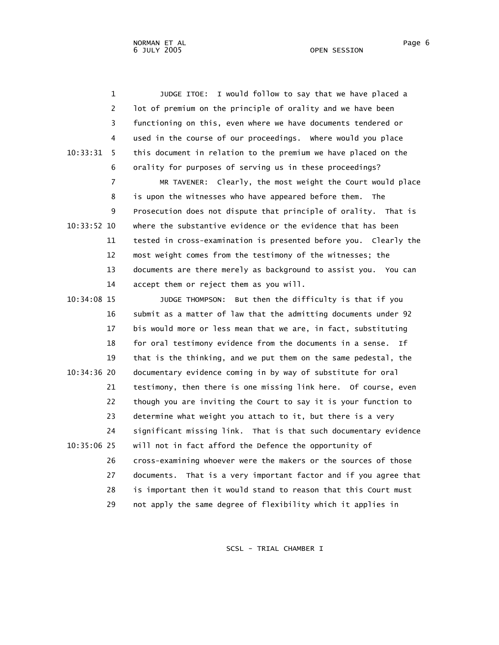1 JUDGE ITOE: I would follow to say that we have placed a 2 lot of premium on the principle of orality and we have been 3 functioning on this, even where we have documents tendered or 4 used in the course of our proceedings. Where would you place 10:33:31 5 this document in relation to the premium we have placed on the 6 orality for purposes of serving us in these proceedings?

 7 MR TAVENER: Clearly, the most weight the Court would place 8 is upon the witnesses who have appeared before them. The 9 Prosecution does not dispute that principle of orality. That is 10:33:52 10 where the substantive evidence or the evidence that has been 11 tested in cross-examination is presented before you. Clearly the 12 most weight comes from the testimony of the witnesses; the 13 documents are there merely as background to assist you. You can 14 accept them or reject them as you will.

 10:34:08 15 JUDGE THOMPSON: But then the difficulty is that if you 16 submit as a matter of law that the admitting documents under 92 17 bis would more or less mean that we are, in fact, substituting 18 for oral testimony evidence from the documents in a sense. If 19 that is the thinking, and we put them on the same pedestal, the 10:34:36 20 documentary evidence coming in by way of substitute for oral 21 testimony, then there is one missing link here. Of course, even 22 though you are inviting the Court to say it is your function to 23 determine what weight you attach to it, but there is a very 24 significant missing link. That is that such documentary evidence 10:35:06 25 will not in fact afford the Defence the opportunity of 26 cross-examining whoever were the makers or the sources of those 27 documents. That is a very important factor and if you agree that 28 is important then it would stand to reason that this Court must 29 not apply the same degree of flexibility which it applies in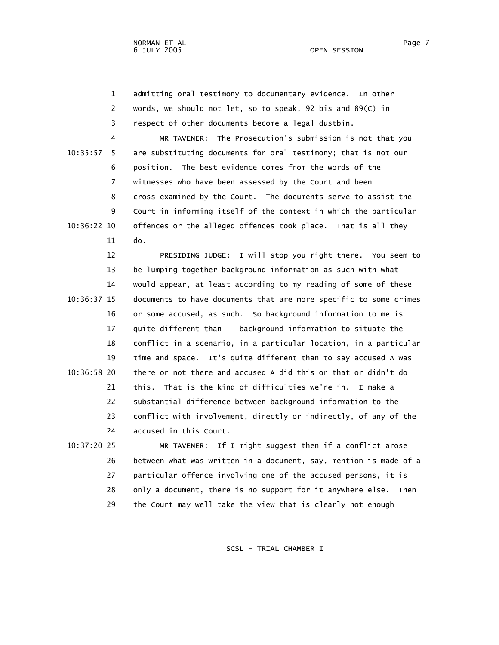1 admitting oral testimony to documentary evidence. In other 2 words, we should not let, so to speak, 92 bis and 89(C) in 3 respect of other documents become a legal dustbin.

 4 MR TAVENER: The Prosecution's submission is not that you 10:35:57 5 are substituting documents for oral testimony; that is not our 6 position. The best evidence comes from the words of the 7 witnesses who have been assessed by the Court and been 8 cross-examined by the Court. The documents serve to assist the 9 Court in informing itself of the context in which the particular 10:36:22 10 offences or the alleged offences took place. That is all they 11 do.

 12 PRESIDING JUDGE: I will stop you right there. You seem to 13 be lumping together background information as such with what 14 would appear, at least according to my reading of some of these 10:36:37 15 documents to have documents that are more specific to some crimes 16 or some accused, as such. So background information to me is 17 quite different than -- background information to situate the 18 conflict in a scenario, in a particular location, in a particular 19 time and space. It's quite different than to say accused A was 10:36:58 20 there or not there and accused A did this or that or didn't do 21 this. That is the kind of difficulties we're in. I make a 22 substantial difference between background information to the 23 conflict with involvement, directly or indirectly, of any of the 24 accused in this Court.

 10:37:20 25 MR TAVENER: If I might suggest then if a conflict arose 26 between what was written in a document, say, mention is made of a 27 particular offence involving one of the accused persons, it is 28 only a document, there is no support for it anywhere else. Then 29 the Court may well take the view that is clearly not enough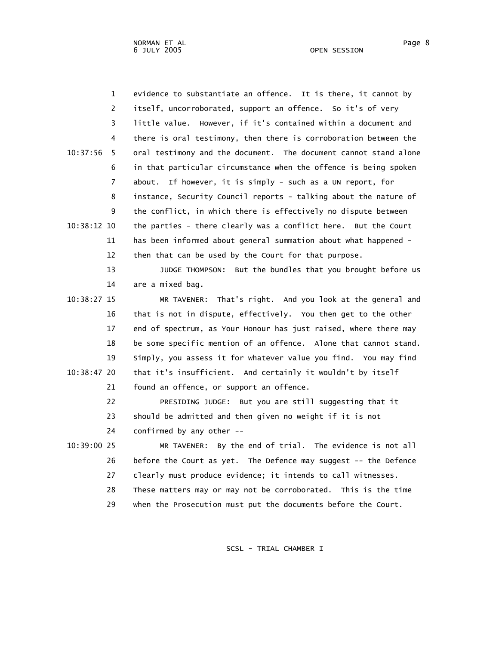1 evidence to substantiate an offence. It is there, it cannot by 2 itself, uncorroborated, support an offence. So it's of very 3 little value. However, if it's contained within a document and 4 there is oral testimony, then there is corroboration between the 10:37:56 5 oral testimony and the document. The document cannot stand alone 6 in that particular circumstance when the offence is being spoken 7 about. If however, it is simply - such as a UN report, for 8 instance, Security Council reports - talking about the nature of 9 the conflict, in which there is effectively no dispute between 10:38:12 10 the parties - there clearly was a conflict here. But the Court 11 has been informed about general summation about what happened - 12 then that can be used by the Court for that purpose. 13 JUDGE THOMPSON: But the bundles that you brought before us 14 are a mixed bag. 10:38:27 15 MR TAVENER: That's right. And you look at the general and 16 that is not in dispute, effectively. You then get to the other 17 end of spectrum, as Your Honour has just raised, where there may 18 be some specific mention of an offence. Alone that cannot stand. 19 Simply, you assess it for whatever value you find. You may find 10:38:47 20 that it's insufficient. And certainly it wouldn't by itself 21 found an offence, or support an offence. 22 PRESIDING JUDGE: But you are still suggesting that it 23 should be admitted and then given no weight if it is not 24 confirmed by any other -- 10:39:00 25 MR TAVENER: By the end of trial. The evidence is not all 26 before the Court as yet. The Defence may suggest -- the Defence 27 clearly must produce evidence; it intends to call witnesses. 28 These matters may or may not be corroborated. This is the time

29 when the Prosecution must put the documents before the Court.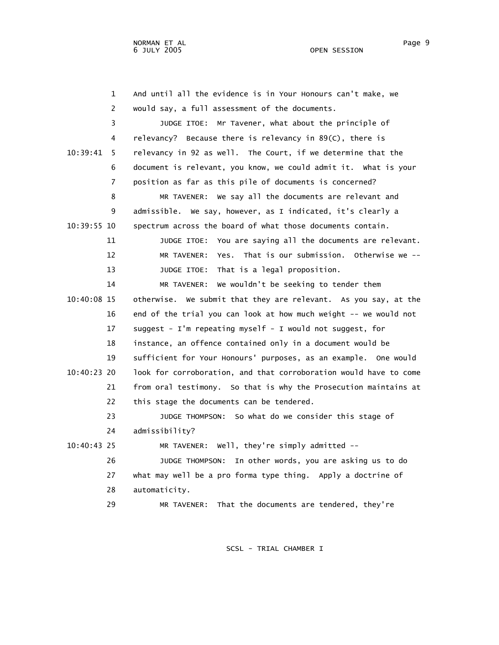| $\mathbf{1}$  | And until all the evidence is in Your Honours can't make, we      |
|---------------|-------------------------------------------------------------------|
| 2             | would say, a full assessment of the documents.                    |
| 3             | JUDGE ITOE: Mr Tavener, what about the principle of               |
| 4             | relevancy? Because there is relevancy in 89(C), there is          |
| 10:39:41<br>5 | relevancy in 92 as well. The Court, if we determine that the      |
| 6             | document is relevant, you know, we could admit it. What is your   |
| 7             | position as far as this pile of documents is concerned?           |
| 8             | MR TAVENER: We say all the documents are relevant and             |
| 9             | admissible. We say, however, as I indicated, it's clearly a       |
| 10:39:55 10   | spectrum across the board of what those documents contain.        |
| 11            | JUDGE ITOE: You are saying all the documents are relevant.        |
| 12            | MR TAVENER: Yes. That is our submission. Otherwise we --          |
| 13            | JUDGE ITOE: That is a legal proposition.                          |
| 14            | MR TAVENER: We wouldn't be seeking to tender them                 |
| 10:40:08 15   | otherwise. We submit that they are relevant. As you say, at the   |
| 16            | end of the trial you can look at how much weight -- we would not  |
| 17            | suggest - I'm repeating myself - I would not suggest, for         |
| 18            | instance, an offence contained only in a document would be        |
| 19            | sufficient for Your Honours' purposes, as an example. One would   |
| 10:40:23 20   | look for corroboration, and that corroboration would have to come |
| 21            | from oral testimony. So that is why the Prosecution maintains at  |
| 22            | this stage the documents can be tendered.                         |
| 23            | JUDGE THOMPSON: So what do we consider this stage of              |
| 24            | admissibility?                                                    |
| 10:40:43 25   | MR TAVENER: Well, they're simply admitted --                      |
| 26            | JUDGE THOMPSON:<br>In other words, you are asking us to do        |
| 27            | what may well be a pro forma type thing. Apply a doctrine of      |
| 28            | automaticity.                                                     |
| 29            | That the documents are tendered, they're<br>MR TAVENER:           |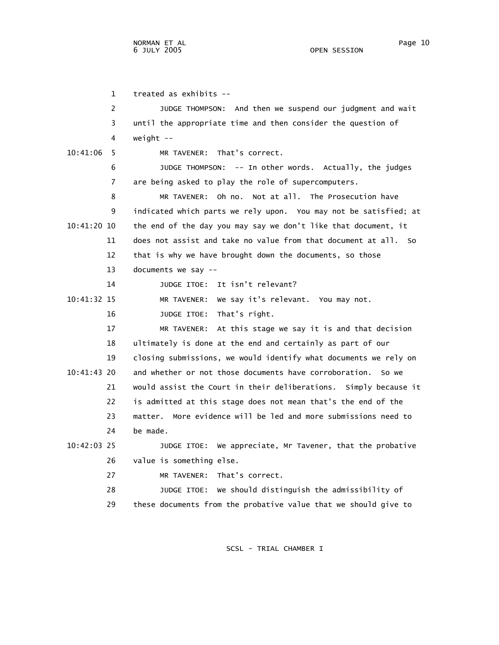1 treated as exhibits -- 2 JUDGE THOMPSON: And then we suspend our judgment and wait 3 until the appropriate time and then consider the question of 4 weight -- 10:41:06 5 MR TAVENER: That's correct. 6 JUDGE THOMPSON: -- In other words. Actually, the judges 7 are being asked to play the role of supercomputers. 8 MR TAVENER: Oh no. Not at all. The Prosecution have 9 indicated which parts we rely upon. You may not be satisfied; at 10:41:20 10 the end of the day you may say we don't like that document, it 11 does not assist and take no value from that document at all. So 12 that is why we have brought down the documents, so those 13 documents we say -- 14 JUDGE ITOE: It isn't relevant? 10:41:32 15 MR TAVENER: We say it's relevant. You may not. 16 JUDGE ITOE: That's right. 17 MR TAVENER: At this stage we say it is and that decision 18 ultimately is done at the end and certainly as part of our 19 closing submissions, we would identify what documents we rely on 10:41:43 20 and whether or not those documents have corroboration. So we 21 would assist the Court in their deliberations. Simply because it 22 is admitted at this stage does not mean that's the end of the 23 matter. More evidence will be led and more submissions need to 24 be made. 10:42:03 25 JUDGE ITOE: We appreciate, Mr Tavener, that the probative 26 value is something else. 27 MR TAVENER: That's correct. 28 JUDGE ITOE: We should distinguish the admissibility of

SCSL - TRIAL CHAMBER I

29 these documents from the probative value that we should give to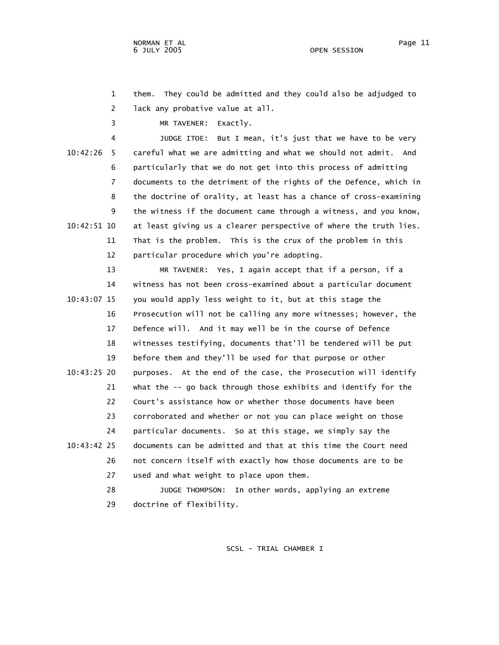1 them. They could be admitted and they could also be adjudged to 2 lack any probative value at all.

3 MR TAVENER: Exactly.

 4 JUDGE ITOE: But I mean, it's just that we have to be very 10:42:26 5 careful what we are admitting and what we should not admit. And 6 particularly that we do not get into this process of admitting 7 documents to the detriment of the rights of the Defence, which in 8 the doctrine of orality, at least has a chance of cross-examining 9 the witness if the document came through a witness, and you know, 10:42:51 10 at least giving us a clearer perspective of where the truth lies. 11 That is the problem. This is the crux of the problem in this 12 particular procedure which you're adopting.

 13 MR TAVENER: Yes, I again accept that if a person, if a 14 witness has not been cross-examined about a particular document 10:43:07 15 you would apply less weight to it, but at this stage the 16 Prosecution will not be calling any more witnesses; however, the 17 Defence will. And it may well be in the course of Defence 18 witnesses testifying, documents that'll be tendered will be put 19 before them and they'll be used for that purpose or other 10:43:25 20 purposes. At the end of the case, the Prosecution will identify 21 what the -- go back through those exhibits and identify for the 22 Court's assistance how or whether those documents have been 23 corroborated and whether or not you can place weight on those 24 particular documents. So at this stage, we simply say the 10:43:42 25 documents can be admitted and that at this time the Court need 26 not concern itself with exactly how those documents are to be 27 used and what weight to place upon them. 28 JUDGE THOMPSON: In other words, applying an extreme

29 doctrine of flexibility.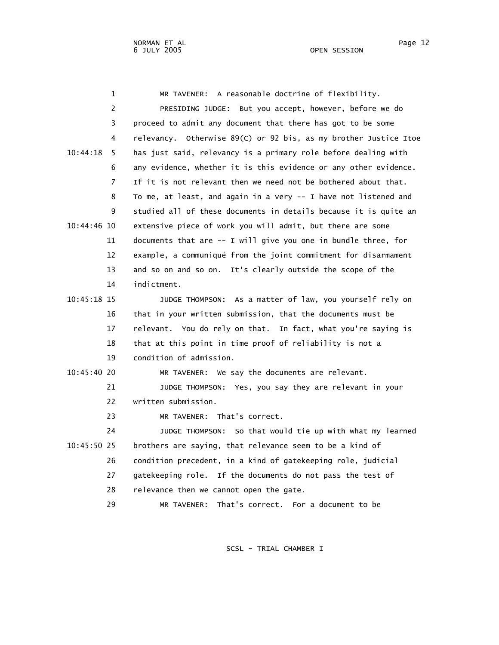| 1              | MR TAVENER: A reasonable doctrine of flexibility.                |
|----------------|------------------------------------------------------------------|
| 2              | PRESIDING JUDGE: But you accept, however, before we do           |
| 3              | proceed to admit any document that there has got to be some      |
| 4              | relevancy. Otherwise 89(C) or 92 bis, as my brother Justice Itoe |
| 10:44:18<br>5. | has just said, relevancy is a primary role before dealing with   |
| 6              | any evidence, whether it is this evidence or any other evidence. |
| $\overline{7}$ | If it is not relevant then we need not be bothered about that.   |
| 8              | To me, at least, and again in a very -- I have not listened and  |
| 9              | studied all of these documents in details because it is quite an |
| 10:44:46 10    | extensive piece of work you will admit, but there are some       |
| 11             | documents that are -- I will give you one in bundle three, for   |
| 12             | example, a communiqué from the joint commitment for disarmament  |
| 13             | and so on and so on. It's clearly outside the scope of the       |
| 14             | indictment.                                                      |
| 10:45:18 15    | JUDGE THOMPSON: As a matter of law, you yourself rely on         |
| 16             | that in your written submission, that the documents must be      |
| 17             | relevant. You do rely on that. In fact, what you're saying is    |
| 18             | that at this point in time proof of reliability is not a         |
| 19             | condition of admission.                                          |
| 10:45:40 20    | MR TAVENER: We say the documents are relevant.                   |
| 21             | JUDGE THOMPSON: Yes, you say they are relevant in your           |
| 22             | written submission.                                              |
| 23             | That's correct.<br>MR TAVENER:                                   |
| 24             | So that would tie up with what my learned<br>JUDGE THOMPSON:     |
| $10:45:50$ 25  | brothers are saying, that relevance seem to be a kind of         |
| 26             | condition precedent, in a kind of gatekeeping role, judicial     |
| 27             | gatekeeping role. If the documents do not pass the test of       |
| 28             | relevance then we cannot open the gate.                          |
| 29             | That's correct. For a document to be<br>MR TAVENER:              |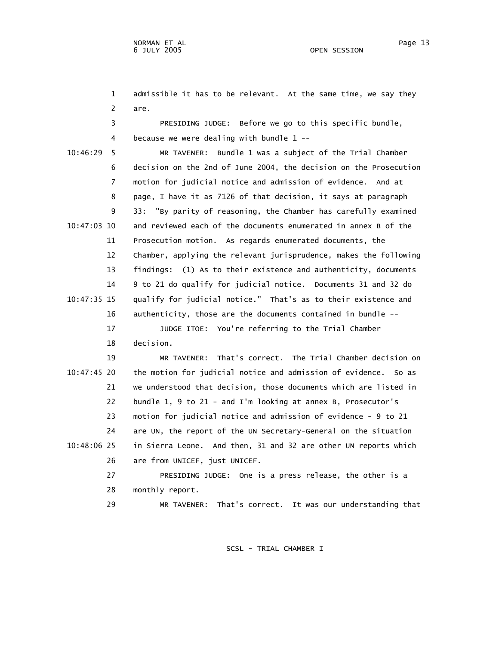1 admissible it has to be relevant. At the same time, we say they 2 are.

 3 PRESIDING JUDGE: Before we go to this specific bundle, 4 because we were dealing with bundle 1 --

 10:46:29 5 MR TAVENER: Bundle 1 was a subject of the Trial Chamber 6 decision on the 2nd of June 2004, the decision on the Prosecution 7 motion for judicial notice and admission of evidence. And at 8 page, I have it as 7126 of that decision, it says at paragraph 9 33: "By parity of reasoning, the Chamber has carefully examined 10:47:03 10 and reviewed each of the documents enumerated in annex B of the 11 Prosecution motion. As regards enumerated documents, the 12 Chamber, applying the relevant jurisprudence, makes the following 13 findings: (1) As to their existence and authenticity, documents 14 9 to 21 do qualify for judicial notice. Documents 31 and 32 do 10:47:35 15 qualify for judicial notice." That's as to their existence and 16 authenticity, those are the documents contained in bundle --

> 17 JUDGE ITOE: You're referring to the Trial Chamber 18 decision.

 19 MR TAVENER: That's correct. The Trial Chamber decision on 10:47:45 20 the motion for judicial notice and admission of evidence. So as 21 we understood that decision, those documents which are listed in 22 bundle 1, 9 to 21 - and I'm looking at annex B, Prosecutor's 23 motion for judicial notice and admission of evidence - 9 to 21 24 are UN, the report of the UN Secretary-General on the situation 10:48:06 25 in Sierra Leone. And then, 31 and 32 are other UN reports which 26 are from UNICEF, just UNICEF. 27 PRESIDING JUDGE: One is a press release, the other is a

28 monthly report.

29 MR TAVENER: That's correct. It was our understanding that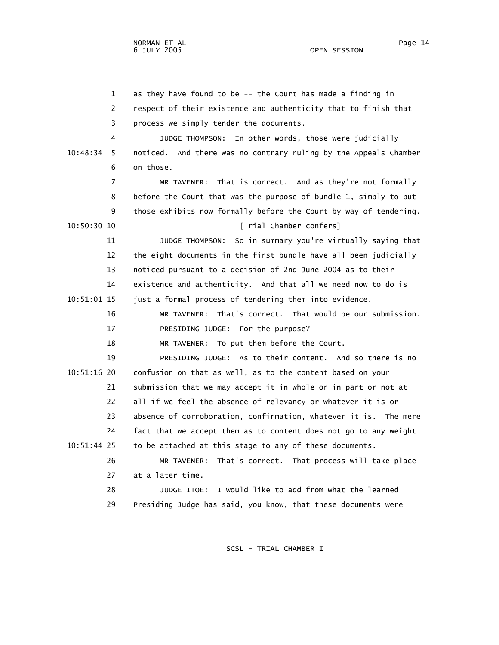1 as they have found to be -- the Court has made a finding in 2 respect of their existence and authenticity that to finish that 3 process we simply tender the documents. 4 JUDGE THOMPSON: In other words, those were judicially 10:48:34 5 noticed. And there was no contrary ruling by the Appeals Chamber 6 on those. 7 MR TAVENER: That is correct. And as they're not formally 8 before the Court that was the purpose of bundle 1, simply to put 9 those exhibits now formally before the Court by way of tendering. 10:50:30 10 **IDEO 10 IDEO IDEO IDEO IDEO IDEO IDEO IDEO IDEO IDEO IDEO IDEO IDEO IDEO IDEO IDEO IDEO IDEO IDEO IDEO IDEO IDEO IDEO IDEO IDEO IDEO IDEO IDEO IDEO I**  11 JUDGE THOMPSON: So in summary you're virtually saying that 12 the eight documents in the first bundle have all been judicially 13 noticed pursuant to a decision of 2nd June 2004 as to their 14 existence and authenticity. And that all we need now to do is 10:51:01 15 just a formal process of tendering them into evidence. 16 MR TAVENER: That's correct. That would be our submission. 17 PRESIDING JUDGE: For the purpose? 18 MR TAVENER: To put them before the Court. 19 PRESIDING JUDGE: As to their content. And so there is no 10:51:16 20 confusion on that as well, as to the content based on your 21 submission that we may accept it in whole or in part or not at 22 all if we feel the absence of relevancy or whatever it is or 23 absence of corroboration, confirmation, whatever it is. The mere 24 fact that we accept them as to content does not go to any weight 10:51:44 25 to be attached at this stage to any of these documents. 26 MR TAVENER: That's correct. That process will take place

27 at a later time.

 28 JUDGE ITOE: I would like to add from what the learned 29 Presiding Judge has said, you know, that these documents were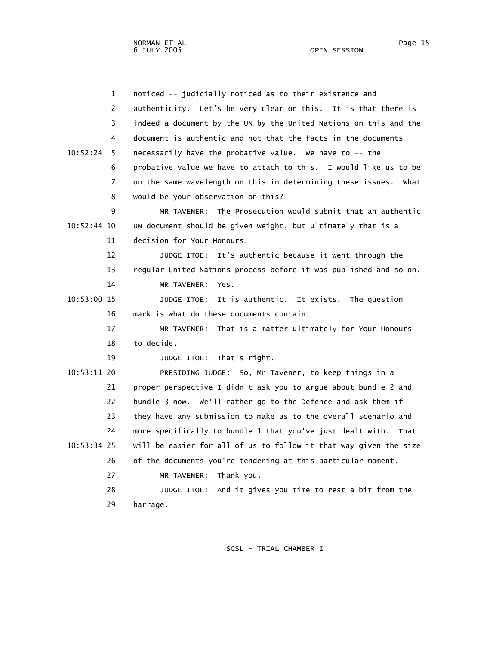NORMAN ET AL Page 15

 1 noticed -- judicially noticed as to their existence and 2 authenticity. Let's be very clear on this. It is that there is 3 indeed a document by the UN by the United Nations on this and the 4 document is authentic and not that the facts in the documents 10:52:24 5 necessarily have the probative value. We have to -- the 6 probative value we have to attach to this. I would like us to be 7 on the same wavelength on this in determining these issues. What 8 would be your observation on this? 9 MR TAVENER: The Prosecution would submit that an authentic 10:52:44 10 UN document should be given weight, but ultimately that is a 11 decision for Your Honours. 12 JUDGE ITOE: It's authentic because it went through the 13 regular United Nations process before it was published and so on. 14 MR TAVENER: Yes. 10:53:00 15 JUDGE ITOE: It is authentic. It exists. The question 16 mark is what do these documents contain. 17 MR TAVENER: That is a matter ultimately for Your Honours 18 to decide. 19 JUDGE ITOE: That's right. 10:53:11 20 PRESIDING JUDGE: So, Mr Tavener, to keep things in a 21 proper perspective I didn't ask you to argue about bundle 2 and 22 bundle 3 now. We'll rather go to the Defence and ask them if 23 they have any submission to make as to the overall scenario and 24 more specifically to bundle 1 that you've just dealt with. That 10:53:34 25 will be easier for all of us to follow it that way given the size 26 of the documents you're tendering at this particular moment. 27 MR TAVENER: Thank you. 28 JUDGE ITOE: And it gives you time to rest a bit from the 29 barrage.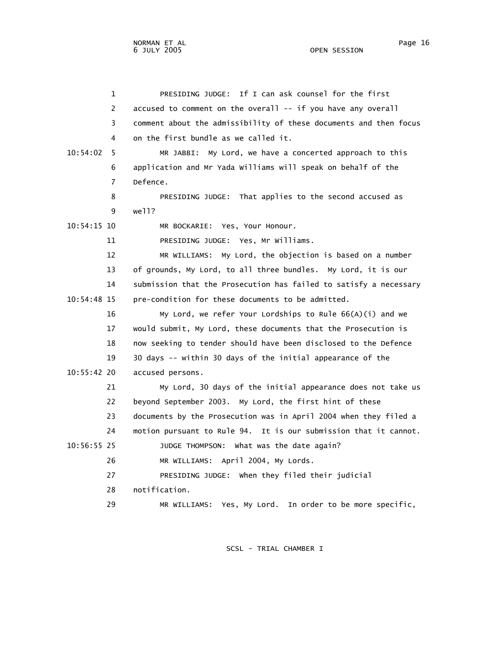| 1              | PRESIDING JUDGE: If I can ask counsel for the first               |
|----------------|-------------------------------------------------------------------|
| 2              | accused to comment on the overall -- if you have any overall      |
| 3              | comment about the admissibility of these documents and then focus |
| 4              | on the first bundle as we called it.                              |
| 10:54:02<br>5  | My Lord, we have a concerted approach to this<br>MR JABBI:        |
| 6              | application and Mr Yada Williams will speak on behalf of the      |
| $\overline{7}$ | Defence.                                                          |
| 8              | PRESIDING JUDGE: That applies to the second accused as            |
| 9              | well?                                                             |
| 10:54:15 10    | MR BOCKARIE:<br>Yes, Your Honour.                                 |
| 11             | PRESIDING JUDGE: Yes, Mr Williams.                                |
| 12             | MR WILLIAMS: My Lord, the objection is based on a number          |
| 13             | of grounds, My Lord, to all three bundles. My Lord, it is our     |
| 14             | submission that the Prosecution has failed to satisfy a necessary |
| 10:54:48 15    | pre-condition for these documents to be admitted.                 |
| 16             | My Lord, we refer Your Lordships to Rule 66(A)(i) and we          |
| 17             | would submit, My Lord, these documents that the Prosecution is    |
| 18             | now seeking to tender should have been disclosed to the Defence   |
| 19             | 30 days -- within 30 days of the initial appearance of the        |
| 10:55:42 20    | accused persons.                                                  |
| 21             | My Lord, 30 days of the initial appearance does not take us       |
| 22             | beyond September 2003. My Lord, the first hint of these           |
| 23             | documents by the Prosecution was in April 2004 when they filed a  |
| 24             | motion pursuant to Rule 94. It is our submission that it cannot.  |
| 10:56:55 25    | JUDGE THOMPSON: What was the date again?                          |
| 26             | MR WILLIAMS: April 2004, My Lords.                                |
| 27             | PRESIDING JUDGE: When they filed their judicial                   |
| 28             | notification.                                                     |
| 29             | MR WILLIAMS: Yes, My Lord. In order to be more specific,          |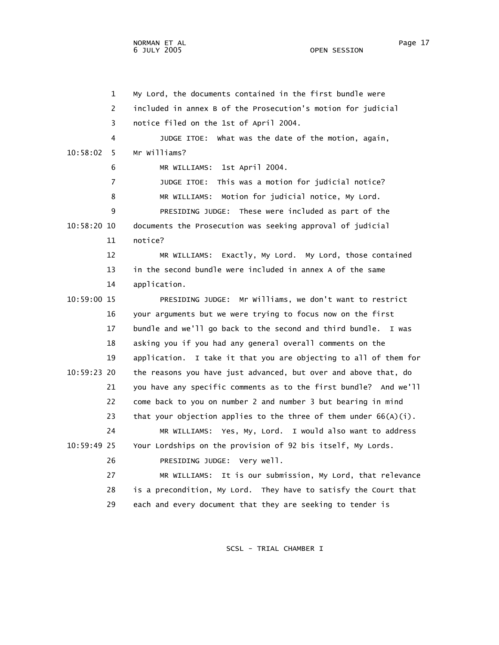NORMAN ET AL Page 17

OPEN SESSION

 1 My Lord, the documents contained in the first bundle were 2 included in annex B of the Prosecution's motion for judicial 3 notice filed on the 1st of April 2004. 4 JUDGE ITOE: What was the date of the motion, again, 10:58:02 5 Mr Williams? 6 MR WILLIAMS: 1st April 2004. 7 JUDGE ITOE: This was a motion for judicial notice? 8 MR WILLIAMS: Motion for judicial notice, My Lord. 9 PRESIDING JUDGE: These were included as part of the 10:58:20 10 documents the Prosecution was seeking approval of judicial 11 notice? 12 MR WILLIAMS: Exactly, My Lord. My Lord, those contained 13 in the second bundle were included in annex A of the same 14 application. 10:59:00 15 PRESIDING JUDGE: Mr Williams, we don't want to restrict 16 your arguments but we were trying to focus now on the first 17 bundle and we'll go back to the second and third bundle. I was 18 asking you if you had any general overall comments on the 19 application. I take it that you are objecting to all of them for 10:59:23 20 the reasons you have just advanced, but over and above that, do 21 you have any specific comments as to the first bundle? And we'll 22 come back to you on number 2 and number 3 but bearing in mind 23 that your objection applies to the three of them under  $66(A)(i)$ . 24 MR WILLIAMS: Yes, My, Lord. I would also want to address 10:59:49 25 Your Lordships on the provision of 92 bis itself, My Lords. 26 PRESIDING JUDGE: Very well. 27 MR WILLIAMS: It is our submission, My Lord, that relevance 28 is a precondition, My Lord. They have to satisfy the Court that 29 each and every document that they are seeking to tender is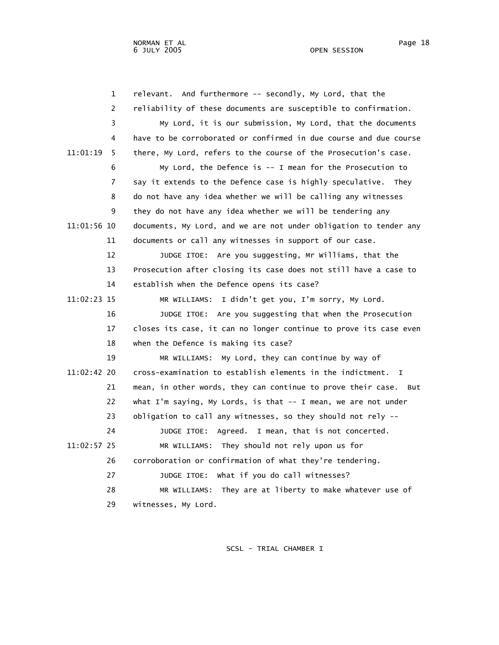1 relevant. And furthermore -- secondly, My Lord, that the 2 reliability of these documents are susceptible to confirmation. 3 My Lord, it is our submission, My Lord, that the documents 4 have to be corroborated or confirmed in due course and due course 11:01:19 5 there, My Lord, refers to the course of the Prosecution's case. 6 My Lord, the Defence is -- I mean for the Prosecution to 7 say it extends to the Defence case is highly speculative. They 8 do not have any idea whether we will be calling any witnesses 9 they do not have any idea whether we will be tendering any 11:01:56 10 documents, My Lord, and we are not under obligation to tender any 11 documents or call any witnesses in support of our case. 12 JUDGE ITOE: Are you suggesting, Mr Williams, that the 13 Prosecution after closing its case does not still have a case to 14 establish when the Defence opens its case? 11:02:23 15 MR WILLIAMS: I didn't get you, I'm sorry, My Lord. 16 JUDGE ITOE: Are you suggesting that when the Prosecution 17 closes its case, it can no longer continue to prove its case even 18 when the Defence is making its case? 19 MR WILLIAMS: My Lord, they can continue by way of 11:02:42 20 cross-examination to establish elements in the indictment. I 21 mean, in other words, they can continue to prove their case. But 22 what I'm saying, My Lords, is that -- I mean, we are not under 23 obligation to call any witnesses, so they should not rely -- 24 JUDGE ITOE: Agreed. I mean, that is not concerted. 11:02:57 25 MR WILLIAMS: They should not rely upon us for 26 corroboration or confirmation of what they're tendering. 27 JUDGE ITOE: What if you do call witnesses? 28 MR WILLIAMS: They are at liberty to make whatever use of 29 witnesses, My Lord.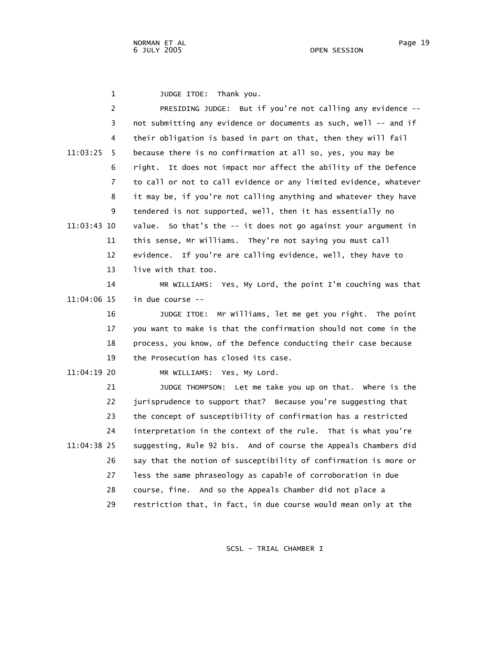1 JUDGE ITOE: Thank you.

| $\overline{c}$ | PRESIDING JUDGE: But if you're not calling any evidence --         |
|----------------|--------------------------------------------------------------------|
| 3              | not submitting any evidence or documents as such, well -- and if   |
| 4              | their obligation is based in part on that, then they will fail     |
| 11:03:25<br>5. | because there is no confirmation at all so, yes, you may be        |
| 6              | It does not impact nor affect the ability of the Defence<br>right. |
| 7              | to call or not to call evidence or any limited evidence, whatever  |
| 8              | it may be, if you're not calling anything and whatever they have   |
| 9              | tendered is not supported, well, then it has essentially no        |
| 11:03:43 10    | value. So that's the -- it does not go against your argument in    |
| 11             | this sense, Mr Williams. They're not saying you must call          |
| 12             | evidence. If you're are calling evidence, well, they have to       |
| 13             | live with that too.                                                |
| 14             | MR WILLIAMS: Yes, My Lord, the point I'm couching was that         |
| 11:04:06 15    | in due course --                                                   |
| 16             | JUDGE ITOE: Mr Williams, let me get you right. The point           |
| 17             | you want to make is that the confirmation should not come in the   |
| 18             | process, you know, of the Defence conducting their case because    |
| 19             | the Prosecution has closed its case.                               |
| 11:04:19 20    | MR WILLIAMS: Yes, My Lord.                                         |
| 21             | JUDGE THOMPSON: Let me take you up on that. Where is the           |
| 22             | jurisprudence to support that? Because you're suggesting that      |
| 23             | the concept of susceptibility of confirmation has a restricted     |
| 24             | interpretation in the context of the rule. That is what you're     |
| 11:04:38 25    | suggesting, Rule 92 bis. And of course the Appeals Chambers did    |
| 26             | say that the notion of susceptibility of confirmation is more or   |
| 27             | less the same phraseology as capable of corroboration in due       |
| 28             | course, fine. And so the Appeals Chamber did not place a           |
| 29             | restriction that, in fact, in due course would mean only at the    |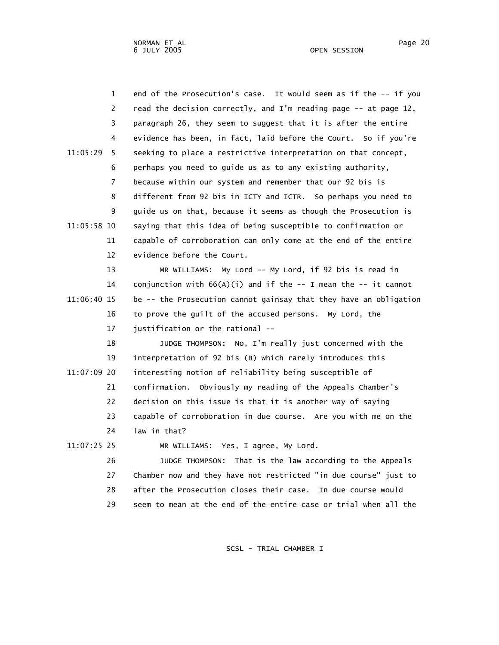| $\mathbf{1}$  | end of the Prosecution's case. It would seem as if the -- if you  |
|---------------|-------------------------------------------------------------------|
| 2             | read the decision correctly, and I'm reading page -- at page 12,  |
| 3             | paragraph 26, they seem to suggest that it is after the entire    |
| 4             | evidence has been, in fact, laid before the Court. So if you're   |
| 11:05:29<br>5 | seeking to place a restrictive interpretation on that concept,    |
| 6             | perhaps you need to guide us as to any existing authority,        |
| 7             | because within our system and remember that our 92 bis is         |
| 8             | different from 92 bis in ICTY and ICTR. So perhaps you need to    |
| 9             | guide us on that, because it seems as though the Prosecution is   |
| 11:05:58 10   | saying that this idea of being susceptible to confirmation or     |
| 11            | capable of corroboration can only come at the end of the entire   |
| 12            | evidence before the Court.                                        |
| 13            | MR WILLIAMS: My Lord -- My Lord, if 92 bis is read in             |
| 14            | conjunction with $66(A)(i)$ and if the -- I mean the -- it cannot |
| 11:06:40 15   | be -- the Prosecution cannot gainsay that they have an obligation |
| 16            | to prove the guilt of the accused persons. My Lord, the           |
| 17            | justification or the rational --                                  |
| 18            | JUDGE THOMPSON: No, I'm really just concerned with the            |
| 19            | interpretation of 92 bis (B) which rarely introduces this         |
| 11:07:09 20   | interesting notion of reliability being susceptible of            |
| 21            | confirmation. Obviously my reading of the Appeals Chamber's       |
| 22            | decision on this issue is that it is another way of saying        |
| 23            | capable of corroboration in due course. Are you with me on the    |
| 24            | law in that?                                                      |
| 11:07:25 25   | MR WILLIAMS: Yes, I agree, My Lord.                               |
| 26            | That is the law according to the Appeals<br>JUDGE THOMPSON:       |
| 27            | Chamber now and they have not restricted "in due course" just to  |
| 28            | after the Prosecution closes their case.<br>In due course would   |
| 29            | seem to mean at the end of the entire case or trial when all the  |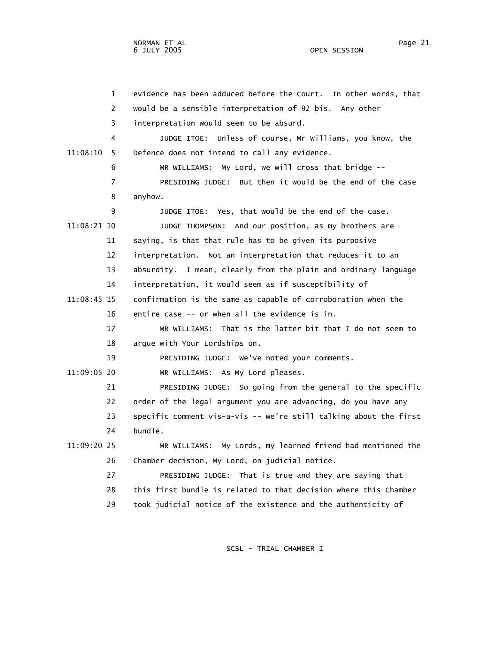1 evidence has been adduced before the Court. In other words, that 2 would be a sensible interpretation of 92 bis. Any other 3 interpretation would seem to be absurd. 4 JUDGE ITOE: Unless of course, Mr Williams, you know, the 11:08:10 5 Defence does not intend to call any evidence. 6 MR WILLIAMS: My Lord, we will cross that bridge -- 7 PRESIDING JUDGE: But then it would be the end of the case 8 anyhow. 9 JUDGE ITOE: Yes, that would be the end of the case. 11:08:21 10 JUDGE THOMPSON: And our position, as my brothers are 11 saying, is that that rule has to be given its purposive 12 interpretation. Not an interpretation that reduces it to an 13 absurdity. I mean, clearly from the plain and ordinary language 14 interpretation, it would seem as if susceptibility of 11:08:45 15 confirmation is the same as capable of corroboration when the 16 entire case -- or when all the evidence is in. 17 MR WILLIAMS: That is the latter bit that I do not seem to 18 argue with Your Lordships on. 19 PRESIDING JUDGE: We've noted your comments. 11:09:05 20 MR WILLIAMS: As My Lord pleases. 21 PRESIDING JUDGE: So going from the general to the specific 22 order of the legal argument you are advancing, do you have any 23 specific comment vis-a-vis -- we're still talking about the first 24 bundle. 11:09:20 25 MR WILLIAMS: My Lords, my learned friend had mentioned the 26 Chamber decision, My Lord, on judicial notice. 27 PRESIDING JUDGE: That is true and they are saying that 28 this first bundle is related to that decision where this Chamber 29 took judicial notice of the existence and the authenticity of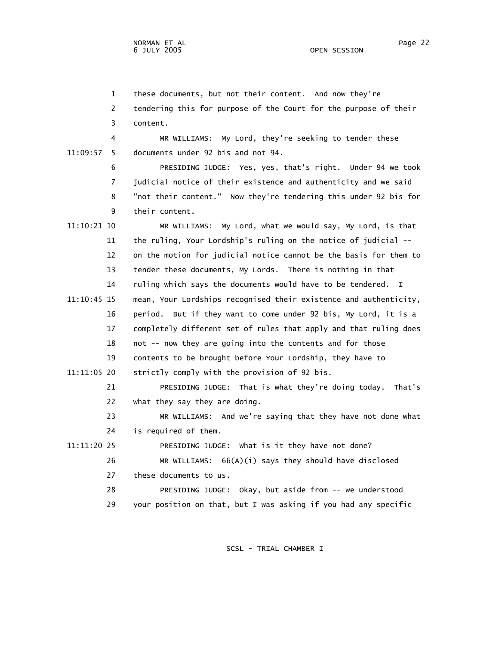1 these documents, but not their content. And now they're

 2 tendering this for purpose of the Court for the purpose of their 3 content.

 4 MR WILLIAMS: My Lord, they're seeking to tender these 11:09:57 5 documents under 92 bis and not 94.

> 6 PRESIDING JUDGE: Yes, yes, that's right. Under 94 we took 7 judicial notice of their existence and authenticity and we said 8 "not their content." Now they're tendering this under 92 bis for 9 their content.

 11:10:21 10 MR WILLIAMS: My Lord, what we would say, My Lord, is that 11 the ruling, Your Lordship's ruling on the notice of judicial -- 12 on the motion for judicial notice cannot be the basis for them to 13 tender these documents, My Lords. There is nothing in that 14 ruling which says the documents would have to be tendered. I 11:10:45 15 mean, Your Lordships recognised their existence and authenticity, 16 period. But if they want to come under 92 bis, My Lord, it is a 17 completely different set of rules that apply and that ruling does 18 not -- now they are going into the contents and for those 19 contents to be brought before Your Lordship, they have to 11:11:05 20 strictly comply with the provision of 92 bis. 21 PRESIDING JUDGE: That is what they're doing today. That's 22 what they say they are doing. 23 MR WILLIAMS: And we're saying that they have not done what 24 is required of them. 11:11:20 25 PRESIDING JUDGE: What is it they have not done? 26 MR WILLIAMS: 66(A)(i) says they should have disclosed 27 these documents to us.

 28 PRESIDING JUDGE: Okay, but aside from -- we understood 29 your position on that, but I was asking if you had any specific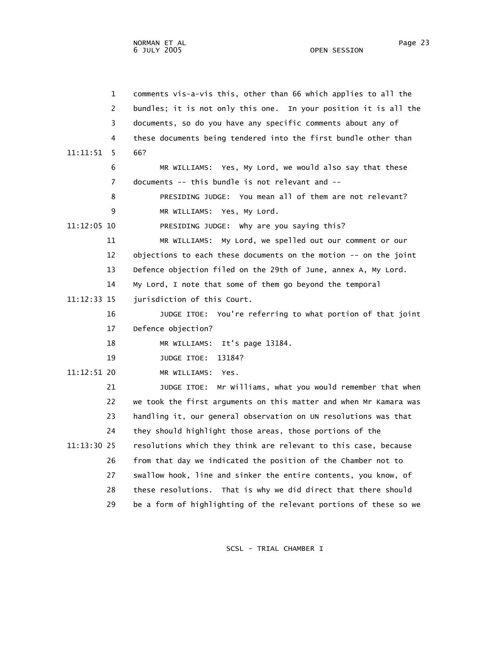|             | $\mathbf 1$    | comments vis-a-vis this, other than 66 which applies to all the   |
|-------------|----------------|-------------------------------------------------------------------|
|             | 2              | bundles; it is not only this one. In your position it is all the  |
|             | 3              | documents, so do you have any specific comments about any of      |
|             | 4              | these documents being tendered into the first bundle other than   |
| 11:11:51    | 5              | 66?                                                               |
|             | 6              | MR WILLIAMS: Yes, My Lord, we would also say that these           |
|             | $\overline{7}$ | documents $--$ this bundle is not relevant and $--$               |
|             | 8              | PRESIDING JUDGE: You mean all of them are not relevant?           |
|             | 9              | MR WILLIAMS: Yes, My Lord.                                        |
| 11:12:05 10 |                | PRESIDING JUDGE: Why are you saying this?                         |
|             | 11             | My Lord, we spelled out our comment or our<br>MR WILLIAMS:        |
|             | 12             | objections to each these documents on the motion -- on the joint  |
|             | 13             | Defence objection filed on the 29th of June, annex A, My Lord.    |
|             | 14             | My Lord, I note that some of them go beyond the temporal          |
| 11:12:33 15 |                | jurisdiction of this Court.                                       |
|             | 16             | JUDGE ITOE: You're referring to what portion of that joint        |
|             | 17             | Defence objection?                                                |
|             | 18             | It's page 13184.<br>MR WILLIAMS:                                  |
|             | 19             | JUDGE ITOE:<br>13184?                                             |
| 11:12:51 20 |                | MR WILLIAMS: Yes.                                                 |
|             | 21             | Mr Williams, what you would remember that when<br>JUDGE ITOE:     |
|             | 22             | we took the first arguments on this matter and when Mr Kamara was |
|             | 23             | handling it, our general observation on UN resolutions was that   |
|             | 24             | they should highlight those areas, those portions of the          |
| 11:13:30 25 |                | resolutions which they think are relevant to this case, because   |
|             | 26             | from that day we indicated the position of the Chamber not to     |
|             | 27             | swallow hook, line and sinker the entire contents, you know, of   |
|             | 28             | these resolutions. That is why we did direct that there should    |
|             | 29             | be a form of highlighting of the relevant portions of these so we |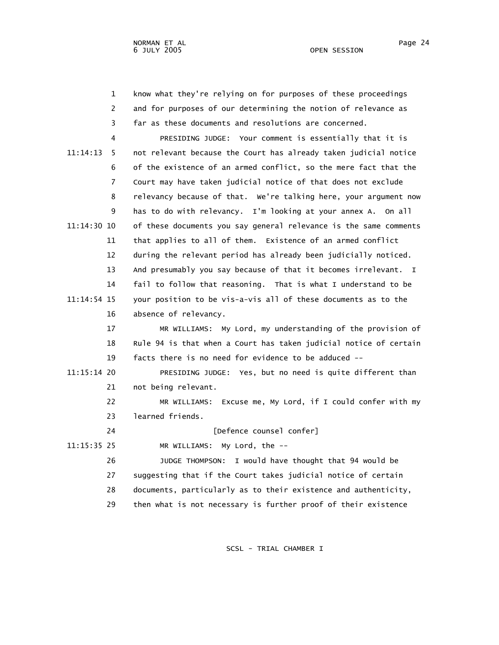| know what they're relying on for purposes of these proceedings |
|----------------------------------------------------------------|
| and for purposes of our determining the notion of relevance as |
| far as these documents and resolutions are concerned.          |

 4 PRESIDING JUDGE: Your comment is essentially that it is 11:14:13 5 not relevant because the Court has already taken judicial notice 6 of the existence of an armed conflict, so the mere fact that the 7 Court may have taken judicial notice of that does not exclude 8 relevancy because of that. We're talking here, your argument now 9 has to do with relevancy. I'm looking at your annex A. On all 11:14:30 10 of these documents you say general relevance is the same comments 11 that applies to all of them. Existence of an armed conflict 12 during the relevant period has already been judicially noticed. 13 And presumably you say because of that it becomes irrelevant. I 14 fail to follow that reasoning. That is what I understand to be 11:14:54 15 your position to be vis-a-vis all of these documents as to the 16 absence of relevancy.

> 17 MR WILLIAMS: My Lord, my understanding of the provision of 18 Rule 94 is that when a Court has taken judicial notice of certain 19 facts there is no need for evidence to be adduced --

 11:15:14 20 PRESIDING JUDGE: Yes, but no need is quite different than 21 not being relevant.

> 22 MR WILLIAMS: Excuse me, My Lord, if I could confer with my 23 learned friends.

24 [Defence counsel confer]

11:15:35 25 MR WILLIAMS: My Lord, the --

 26 JUDGE THOMPSON: I would have thought that 94 would be 27 suggesting that if the Court takes judicial notice of certain 28 documents, particularly as to their existence and authenticity, 29 then what is not necessary is further proof of their existence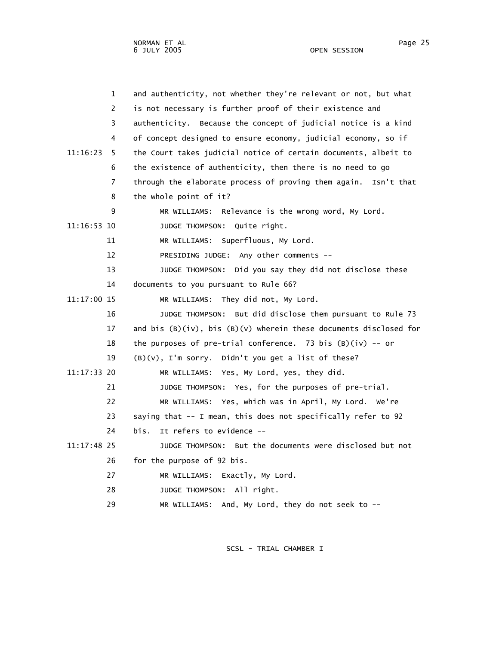| $\mathbf 1$   | and authenticity, not whether they're relevant or not, but what        |
|---------------|------------------------------------------------------------------------|
| 2             | is not necessary is further proof of their existence and               |
| 3             | authenticity. Because the concept of judicial notice is a kind         |
| 4             | of concept designed to ensure economy, judicial economy, so if         |
| 11:16:23<br>5 | the Court takes judicial notice of certain documents, albeit to        |
| 6             | the existence of authenticity, then there is no need to go             |
| 7             | through the elaborate process of proving them again. Isn't that        |
| 8             | the whole point of it?                                                 |
| 9             | MR WILLIAMS: Relevance is the wrong word, My Lord.                     |
| 11:16:53 10   | JUDGE THOMPSON: Quite right.                                           |
| 11            | MR WILLIAMS: Superfluous, My Lord.                                     |
| 12            | PRESIDING JUDGE: Any other comments --                                 |
| 13            | JUDGE THOMPSON: Did you say they did not disclose these                |
| 14            | documents to you pursuant to Rule 66?                                  |
| 11:17:00 15   | MR WILLIAMS: They did not, My Lord.                                    |
| 16            | JUDGE THOMPSON: But did disclose them pursuant to Rule 73              |
| 17            | and bis $(B)(iv)$ , bis $(B)(v)$ wherein these documents disclosed for |
| 18            | the purposes of pre-trial conference. 73 bis $(B)(iv)$ -- or           |
| 19            | $(B)(v)$ , I'm sorry. Didn't you get a list of these?                  |
| 11:17:33 20   | MR WILLIAMS: Yes, My Lord, yes, they did.                              |
| 21            | JUDGE THOMPSON: Yes, for the purposes of pre-trial.                    |
| 22            | MR WILLIAMS: Yes, which was in April, My Lord. We're                   |
| 23            | saying that -- I mean, this does not specifically refer to 92          |
| 24            | bis.<br>It refers to evidence --                                       |
| $11:17:48$ 25 | JUDGE THOMPSON: But the documents were disclosed but not               |
| 26            | for the purpose of 92 bis.                                             |
| 27            | MR WILLIAMS: Exactly, My Lord.                                         |
| 28            | JUDGE THOMPSON: All right.                                             |
| 29            | MR WILLIAMS: And, My Lord, they do not seek to --                      |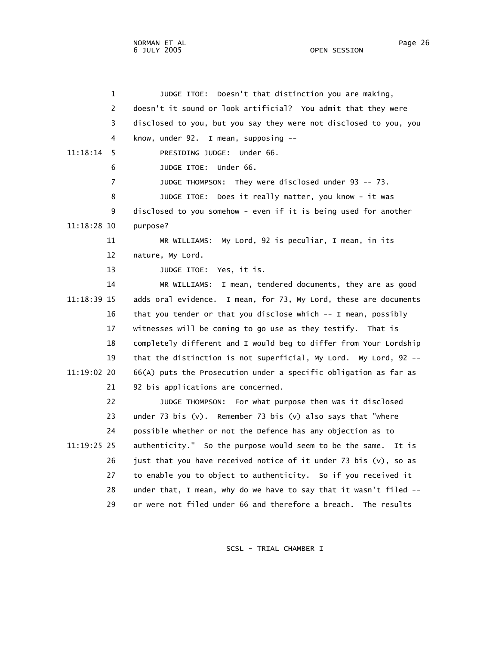NORMAN ET AL Page 26 6 JULY 2005

 1 JUDGE ITOE: Doesn't that distinction you are making, 2 doesn't it sound or look artificial? You admit that they were 3 disclosed to you, but you say they were not disclosed to you, you 4 know, under 92. I mean, supposing -- 11:18:14 5 PRESIDING JUDGE: Under 66. 6 JUDGE ITOE: Under 66. 7 JUDGE THOMPSON: They were disclosed under 93 -- 73. 8 JUDGE ITOE: Does it really matter, you know - it was 9 disclosed to you somehow - even if it is being used for another 11:18:28 10 purpose? 11 MR WILLIAMS: My Lord, 92 is peculiar, I mean, in its 12 nature, My Lord. 13 JUDGE ITOE: Yes, it is. 14 MR WILLIAMS: I mean, tendered documents, they are as good 11:18:39 15 adds oral evidence. I mean, for 73, My Lord, these are documents 16 that you tender or that you disclose which -- I mean, possibly 17 witnesses will be coming to go use as they testify. That is 18 completely different and I would beg to differ from Your Lordship 19 that the distinction is not superficial, My Lord. My Lord, 92 -- 11:19:02 20 66(A) puts the Prosecution under a specific obligation as far as 21 92 bis applications are concerned. 22 JUDGE THOMPSON: For what purpose then was it disclosed 23 under 73 bis (v). Remember 73 bis (v) also says that "where 24 possible whether or not the Defence has any objection as to 11:19:25 25 authenticity." So the purpose would seem to be the same. It is 26 just that you have received notice of it under 73 bis  $(v)$ , so as 27 to enable you to object to authenticity. So if you received it 28 under that, I mean, why do we have to say that it wasn't filed -- 29 or were not filed under 66 and therefore a breach. The results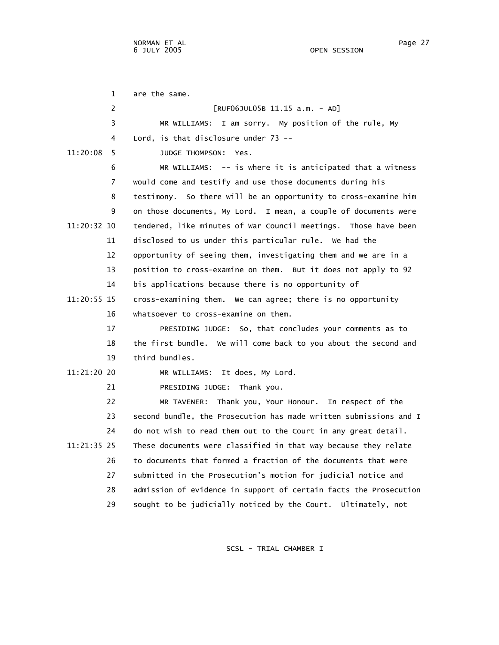1 are the same. 2 [RUF06JUL05B 11.15 a.m. - AD] 3 MR WILLIAMS: I am sorry. My position of the rule, My 4 Lord, is that disclosure under 73 -- 11:20:08 5 JUDGE THOMPSON: Yes. 6 MR WILLIAMS: -- is where it is anticipated that a witness 7 would come and testify and use those documents during his 8 testimony. So there will be an opportunity to cross-examine him 9 on those documents, My Lord. I mean, a couple of documents were 11:20:32 10 tendered, like minutes of War Council meetings. Those have been 11 disclosed to us under this particular rule. We had the 12 opportunity of seeing them, investigating them and we are in a 13 position to cross-examine on them. But it does not apply to 92 14 bis applications because there is no opportunity of 11:20:55 15 cross-examining them. We can agree; there is no opportunity 16 whatsoever to cross-examine on them. 17 PRESIDING JUDGE: So, that concludes your comments as to 18 the first bundle. We will come back to you about the second and 19 third bundles. 11:21:20 20 MR WILLIAMS: It does, My Lord. 21 PRESIDING JUDGE: Thank you. 22 MR TAVENER: Thank you, Your Honour. In respect of the 23 second bundle, the Prosecution has made written submissions and I 24 do not wish to read them out to the Court in any great detail. 11:21:35 25 These documents were classified in that way because they relate 26 to documents that formed a fraction of the documents that were 27 submitted in the Prosecution's motion for judicial notice and 28 admission of evidence in support of certain facts the Prosecution 29 sought to be judicially noticed by the Court. Ultimately, not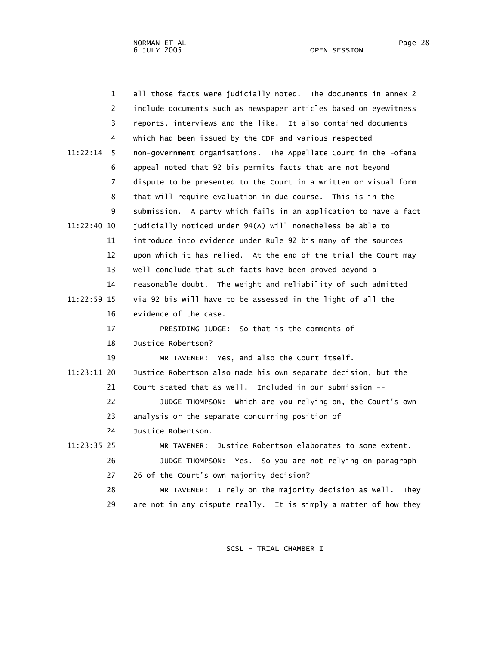| $\mathbf{1}$   | all those facts were judicially noted. The documents in annex 2  |
|----------------|------------------------------------------------------------------|
| 2              | include documents such as newspaper articles based on eyewitness |
| 3              | reports, interviews and the like. It also contained documents    |
| 4              | which had been issued by the CDF and various respected           |
| 11:22:14<br>5  | non-government organisations. The Appellate Court in the Fofana  |
| 6              | appeal noted that 92 bis permits facts that are not beyond       |
| $\overline{7}$ | dispute to be presented to the Court in a written or visual form |
| 8              | that will require evaluation in due course. This is in the       |
| 9              | submission. A party which fails in an application to have a fact |
| 11:22:40 10    | judicially noticed under 94(A) will nonetheless be able to       |
| 11             | introduce into evidence under Rule 92 bis many of the sources    |
| 12             | upon which it has relied. At the end of the trial the Court may  |
| 13             | well conclude that such facts have been proved beyond a          |
| 14             | reasonable doubt. The weight and reliability of such admitted    |
| 11:22:59 15    | via 92 bis will have to be assessed in the light of all the      |
| 16             | evidence of the case.                                            |
| 17             | PRESIDING JUDGE: So that is the comments of                      |
| 18             | Justice Robertson?                                               |
| 19             | MR TAVENER: Yes, and also the Court itself.                      |
| 11:23:11 20    | Justice Robertson also made his own separate decision, but the   |
| 21             | Court stated that as well. Included in our submission --         |
| 22             | JUDGE THOMPSON: which are you relying on, the Court's own        |
| 23             | analysis or the separate concurring position of                  |
| 24             | Justice Robertson.                                               |
| 11:23:35 25    | Justice Robertson elaborates to some extent.<br>MR TAVENER:      |
| 26             | JUDGE THOMPSON: Yes. So you are not relying on paragraph         |
| 27             | 26 of the Court's own majority decision?                         |
| 28             | MR TAVENER: I rely on the majority decision as well. They        |
| 29             | are not in any dispute really. It is simply a matter of how they |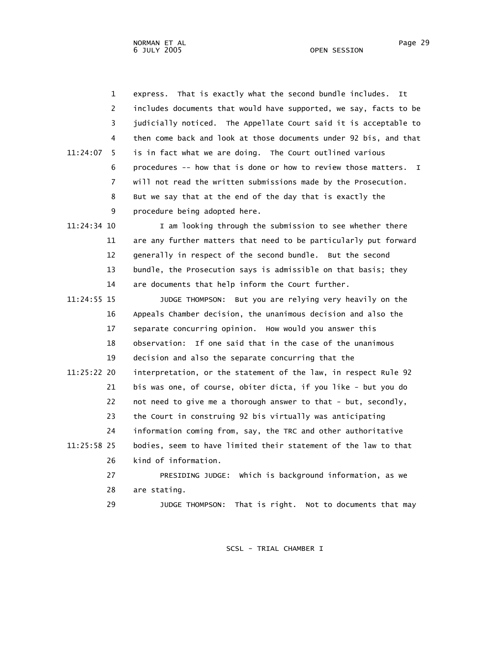NORMAN ET AL Page 29

 1 express. That is exactly what the second bundle includes. It 2 includes documents that would have supported, we say, facts to be 3 judicially noticed. The Appellate Court said it is acceptable to 4 then come back and look at those documents under 92 bis, and that 11:24:07 5 is in fact what we are doing. The Court outlined various 6 procedures -- how that is done or how to review those matters. I 7 will not read the written submissions made by the Prosecution. 8 But we say that at the end of the day that is exactly the 9 procedure being adopted here. 11:24:34 10 I am looking through the submission to see whether there 11 are any further matters that need to be particularly put forward 12 generally in respect of the second bundle. But the second 13 bundle, the Prosecution says is admissible on that basis; they 14 are documents that help inform the Court further. 11:24:55 15 JUDGE THOMPSON: But you are relying very heavily on the 16 Appeals Chamber decision, the unanimous decision and also the 17 separate concurring opinion. How would you answer this 18 observation: If one said that in the case of the unanimous 19 decision and also the separate concurring that the 11:25:22 20 interpretation, or the statement of the law, in respect Rule 92 21 bis was one, of course, obiter dicta, if you like - but you do 22 not need to give me a thorough answer to that - but, secondly, 23 the Court in construing 92 bis virtually was anticipating 24 information coming from, say, the TRC and other authoritative 11:25:58 25 bodies, seem to have limited their statement of the law to that 26 kind of information. 27 PRESIDING JUDGE: Which is background information, as we 28 are stating. 29 JUDGE THOMPSON: That is right. Not to documents that may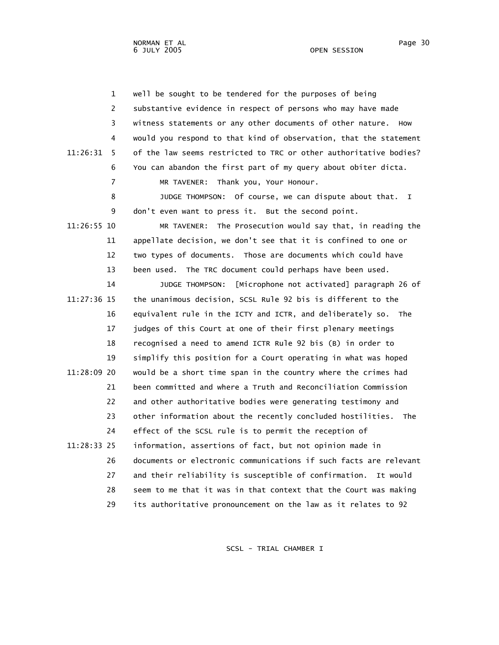1 well be sought to be tendered for the purposes of being 2 substantive evidence in respect of persons who may have made 3 witness statements or any other documents of other nature. How 4 would you respond to that kind of observation, that the statement 11:26:31 5 of the law seems restricted to TRC or other authoritative bodies? 6 You can abandon the first part of my query about obiter dicta. 7 MR TAVENER: Thank you, Your Honour. 8 JUDGE THOMPSON: Of course, we can dispute about that. I 9 don't even want to press it. But the second point. 11:26:55 10 MR TAVENER: The Prosecution would say that, in reading the 11 appellate decision, we don't see that it is confined to one or 12 two types of documents. Those are documents which could have 13 been used. The TRC document could perhaps have been used. 14 JUDGE THOMPSON: [Microphone not activated] paragraph 26 of 11:27:36 15 the unanimous decision, SCSL Rule 92 bis is different to the 16 equivalent rule in the ICTY and ICTR, and deliberately so. The 17 judges of this Court at one of their first plenary meetings 18 recognised a need to amend ICTR Rule 92 bis (B) in order to 19 simplify this position for a Court operating in what was hoped 11:28:09 20 would be a short time span in the country where the crimes had 21 been committed and where a Truth and Reconciliation Commission 22 and other authoritative bodies were generating testimony and 23 other information about the recently concluded hostilities. The 24 effect of the SCSL rule is to permit the reception of 11:28:33 25 information, assertions of fact, but not opinion made in 26 documents or electronic communications if such facts are relevant 27 and their reliability is susceptible of confirmation. It would 28 seem to me that it was in that context that the Court was making 29 its authoritative pronouncement on the law as it relates to 92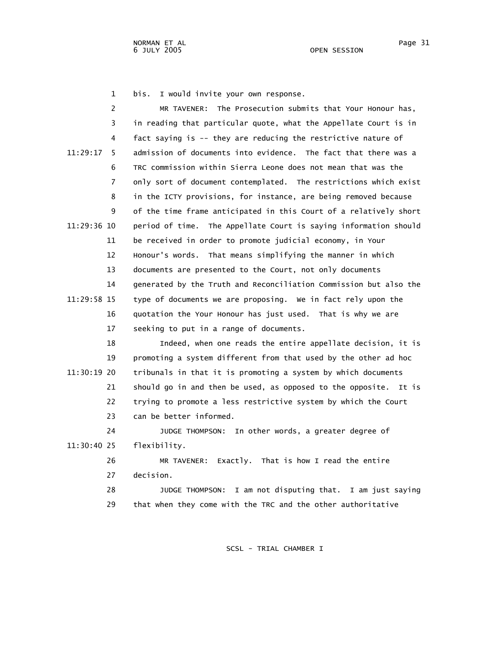1 bis. I would invite your own response.

| 2              | MR TAVENER: The Prosecution submits that Your Honour has,         |
|----------------|-------------------------------------------------------------------|
| 3              | in reading that particular quote, what the Appellate Court is in  |
| 4              | fact saying is -- they are reducing the restrictive nature of     |
| 11:29:17<br>5  | admission of documents into evidence. The fact that there was a   |
| 6              | TRC commission within Sierra Leone does not mean that was the     |
| $\overline{7}$ | only sort of document contemplated. The restrictions which exist  |
| 8              | in the ICTY provisions, for instance, are being removed because   |
| 9              | of the time frame anticipated in this Court of a relatively short |
| 11:29:36 10    | period of time. The Appellate Court is saying information should  |
| 11             | be received in order to promote judicial economy, in Your         |
| 12             | Honour's words. That means simplifying the manner in which        |
| 13             | documents are presented to the Court, not only documents          |
| 14             | generated by the Truth and Reconciliation Commission but also the |
| 11:29:58 15    | type of documents we are proposing. We in fact rely upon the      |
|                |                                                                   |
| 16             | quotation the Your Honour has just used. That is why we are       |
| 17             | seeking to put in a range of documents.                           |
| 18             | Indeed, when one reads the entire appellate decision, it is       |
| 19             | promoting a system different from that used by the other ad hoc   |
| 11:30:19 20    | tribunals in that it is promoting a system by which documents     |
| 21             | should go in and then be used, as opposed to the opposite. It is  |
| 22             | trying to promote a less restrictive system by which the Court    |
| 23             | can be better informed.                                           |
| 24             | JUDGE THOMPSON: In other words, a greater degree of               |
| 11:30:40 25    | flexibility.                                                      |
| 26             | MR TAVENER: Exactly. That is how I read the entire                |
| 27             | decision.                                                         |
| 28             | JUDGE THOMPSON: I am not disputing that. I am just saying         |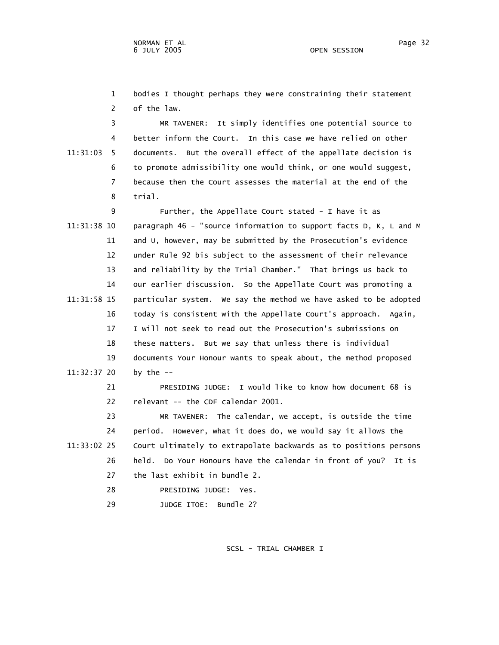1 bodies I thought perhaps they were constraining their statement 2 of the law.

 3 MR TAVENER: It simply identifies one potential source to 4 better inform the Court. In this case we have relied on other 11:31:03 5 documents. But the overall effect of the appellate decision is 6 to promote admissibility one would think, or one would suggest, 7 because then the Court assesses the material at the end of the 8 trial.

 9 Further, the Appellate Court stated - I have it as 11:31:38 10 paragraph 46 - "source information to support facts D, K, L and M 11 and U, however, may be submitted by the Prosecution's evidence 12 under Rule 92 bis subject to the assessment of their relevance 13 and reliability by the Trial Chamber." That brings us back to 14 our earlier discussion. So the Appellate Court was promoting a 11:31:58 15 particular system. We say the method we have asked to be adopted 16 today is consistent with the Appellate Court's approach. Again, 17 I will not seek to read out the Prosecution's submissions on 18 these matters. But we say that unless there is individual 19 documents Your Honour wants to speak about, the method proposed 11:32:37 20 by the --

> 21 PRESIDING JUDGE: I would like to know how document 68 is 22 relevant -- the CDF calendar 2001.

 23 MR TAVENER: The calendar, we accept, is outside the time 24 period. However, what it does do, we would say it allows the 11:33:02 25 Court ultimately to extrapolate backwards as to positions persons 26 held. Do Your Honours have the calendar in front of you? It is 27 the last exhibit in bundle 2.

- 28 PRESIDING JUDGE: Yes.
- 29 JUDGE ITOE: Bundle 2?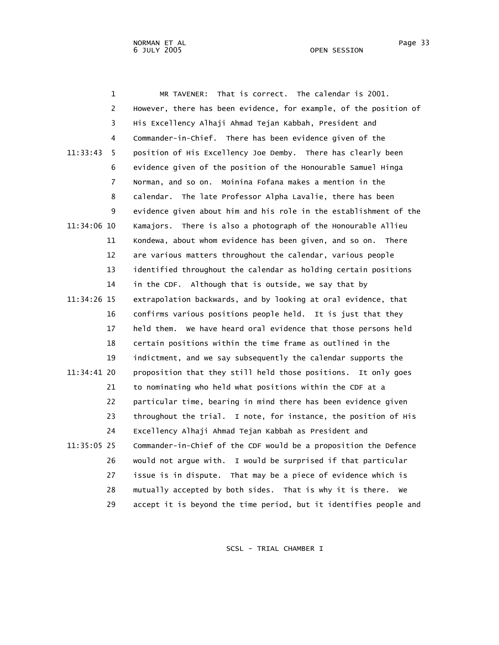1 MR TAVENER: That is correct. The calendar is 2001. 2 However, there has been evidence, for example, of the position of 3 His Excellency Alhaji Ahmad Tejan Kabbah, President and 4 Commander-in-Chief. There has been evidence given of the 11:33:43 5 position of His Excellency Joe Demby. There has clearly been 6 evidence given of the position of the Honourable Samuel Hinga 7 Norman, and so on. Moinina Fofana makes a mention in the 8 calendar. The late Professor Alpha Lavalie, there has been 9 evidence given about him and his role in the establishment of the 11:34:06 10 Kamajors. There is also a photograph of the Honourable Allieu 11 Kondewa, about whom evidence has been given, and so on. There 12 are various matters throughout the calendar, various people 13 identified throughout the calendar as holding certain positions 14 in the CDF. Although that is outside, we say that by 11:34:26 15 extrapolation backwards, and by looking at oral evidence, that 16 confirms various positions people held. It is just that they 17 held them. We have heard oral evidence that those persons held 18 certain positions within the time frame as outlined in the 19 indictment, and we say subsequently the calendar supports the 11:34:41 20 proposition that they still held those positions. It only goes 21 to nominating who held what positions within the CDF at a 22 particular time, bearing in mind there has been evidence given 23 throughout the trial. I note, for instance, the position of His 24 Excellency Alhaji Ahmad Tejan Kabbah as President and 11:35:05 25 Commander-in-Chief of the CDF would be a proposition the Defence 26 would not argue with. I would be surprised if that particular 27 issue is in dispute. That may be a piece of evidence which is

> 28 mutually accepted by both sides. That is why it is there. We 29 accept it is beyond the time period, but it identifies people and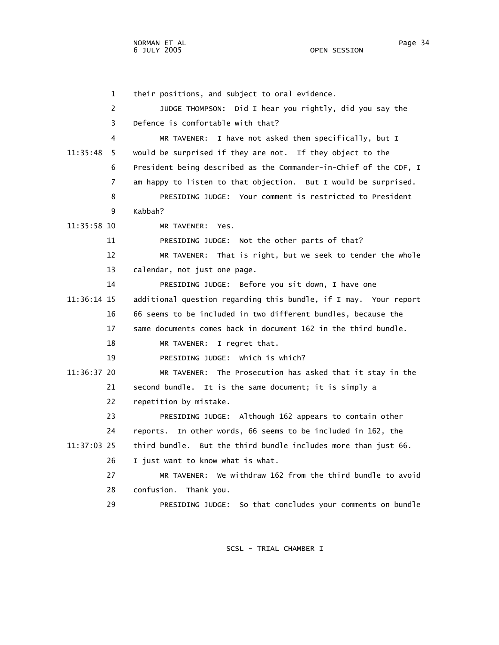1 their positions, and subject to oral evidence. 2 JUDGE THOMPSON: Did I hear you rightly, did you say the 3 Defence is comfortable with that? 4 MR TAVENER: I have not asked them specifically, but I 11:35:48 5 would be surprised if they are not. If they object to the 6 President being described as the Commander-in-Chief of the CDF, I 7 am happy to listen to that objection. But I would be surprised. 8 PRESIDING JUDGE: Your comment is restricted to President 9 Kabbah? 11:35:58 10 MR TAVENER: Yes. 11 PRESIDING JUDGE: Not the other parts of that? 12 MR TAVENER: That is right, but we seek to tender the whole 13 calendar, not just one page. 14 PRESIDING JUDGE: Before you sit down, I have one 11:36:14 15 additional question regarding this bundle, if I may. Your report 16 66 seems to be included in two different bundles, because the 17 same documents comes back in document 162 in the third bundle. 18 MR TAVENER: I regret that. 19 PRESIDING JUDGE: Which is which? 11:36:37 20 MR TAVENER: The Prosecution has asked that it stay in the 21 second bundle. It is the same document; it is simply a 22 repetition by mistake. 23 PRESIDING JUDGE: Although 162 appears to contain other 24 reports. In other words, 66 seems to be included in 162, the 11:37:03 25 third bundle. But the third bundle includes more than just 66. 26 I just want to know what is what. 27 MR TAVENER: We withdraw 162 from the third bundle to avoid 28 confusion. Thank you. 29 PRESIDING JUDGE: So that concludes your comments on bundle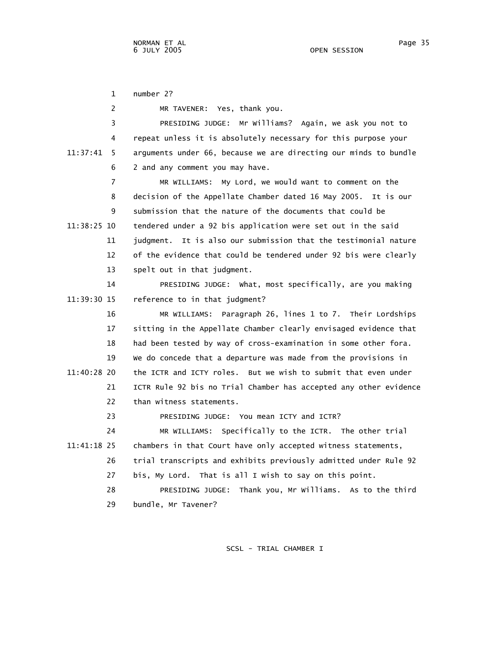1 number 2? 2 MR TAVENER: Yes, thank you. 3 PRESIDING JUDGE: Mr Williams? Again, we ask you not to 4 repeat unless it is absolutely necessary for this purpose your 11:37:41 5 arguments under 66, because we are directing our minds to bundle 6 2 and any comment you may have. 7 MR WILLIAMS: My Lord, we would want to comment on the 8 decision of the Appellate Chamber dated 16 May 2005. It is our 9 submission that the nature of the documents that could be 11:38:25 10 tendered under a 92 bis application were set out in the said 11 judgment. It is also our submission that the testimonial nature 12 of the evidence that could be tendered under 92 bis were clearly 13 spelt out in that judgment. 14 PRESIDING JUDGE: What, most specifically, are you making 11:39:30 15 reference to in that judgment? 16 MR WILLIAMS: Paragraph 26, lines 1 to 7. Their Lordships 17 sitting in the Appellate Chamber clearly envisaged evidence that 18 had been tested by way of cross-examination in some other fora. 19 We do concede that a departure was made from the provisions in 11:40:28 20 the ICTR and ICTY roles. But we wish to submit that even under 21 ICTR Rule 92 bis no Trial Chamber has accepted any other evidence 22 than witness statements. 23 PRESIDING JUDGE: You mean ICTY and ICTR? 24 MR WILLIAMS: Specifically to the ICTR. The other trial 11:41:18 25 chambers in that Court have only accepted witness statements, 26 trial transcripts and exhibits previously admitted under Rule 92

> 28 PRESIDING JUDGE: Thank you, Mr Williams. As to the third 29 bundle, Mr Tavener?

27 bis, My Lord. That is all I wish to say on this point.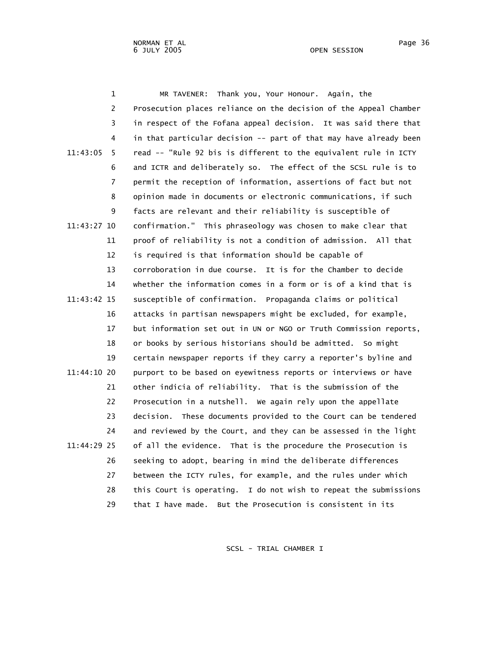|             | 1              | Thank you, Your Honour. Again, the<br>MR TAVENER:                 |
|-------------|----------------|-------------------------------------------------------------------|
|             | $\overline{c}$ | Prosecution places reliance on the decision of the Appeal Chamber |
|             | 3              | in respect of the Fofana appeal decision. It was said there that  |
|             | 4              | in that particular decision -- part of that may have already been |
| 11:43:05    | 5              | read -- "Rule 92 bis is different to the equivalent rule in ICTY  |
|             | 6              | and ICTR and deliberately so. The effect of the SCSL rule is to   |
|             | 7              | permit the reception of information, assertions of fact but not   |
|             | 8              | opinion made in documents or electronic communications, if such   |
|             | 9              | facts are relevant and their reliability is susceptible of        |
| 11:43:27 10 |                | confirmation." This phraseology was chosen to make clear that     |
|             | 11             | proof of reliability is not a condition of admission. All that    |
|             | 12             | is required is that information should be capable of              |
|             | 13             | corroboration in due course. It is for the Chamber to decide      |
|             | 14             | whether the information comes in a form or is of a kind that is   |
| 11:43:42 15 |                | susceptible of confirmation. Propaganda claims or political       |
|             | 16             | attacks in partisan newspapers might be excluded, for example,    |
|             | 17             | but information set out in UN or NGO or Truth Commission reports, |
|             | 18             | or books by serious historians should be admitted. So might       |
|             | 19             | certain newspaper reports if they carry a reporter's byline and   |
| 11:44:10 20 |                | purport to be based on eyewitness reports or interviews or have   |
|             | 21             | other indicia of reliability. That is the submission of the       |
|             | 22             | Prosecution in a nutshell. We again rely upon the appellate       |
|             | 23             | decision. These documents provided to the Court can be tendered   |
|             | 24             | and reviewed by the Court, and they can be assessed in the light  |
| 11:44:29 25 |                | of all the evidence. That is the procedure the Prosecution is     |
|             | 26             | seeking to adopt, bearing in mind the deliberate differences      |
|             | 27             | between the ICTY rules, for example, and the rules under which    |
|             | 28             | this Court is operating. I do not wish to repeat the submissions  |
|             | 29             | that I have made.<br>But the Prosecution is consistent in its     |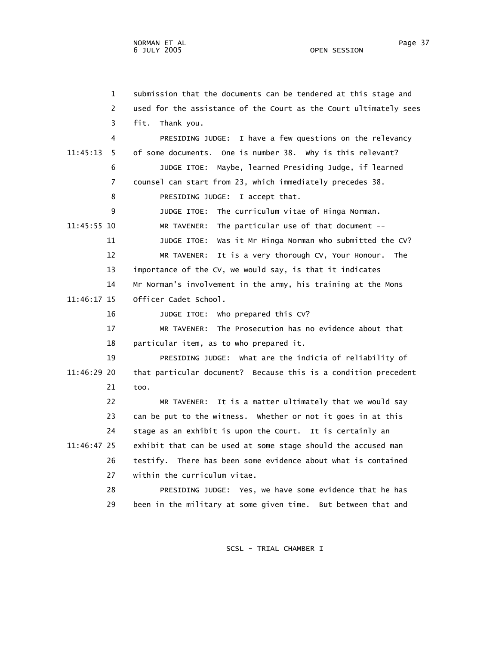1 submission that the documents can be tendered at this stage and 2 used for the assistance of the Court as the Court ultimately sees 3 fit. Thank you. 4 PRESIDING JUDGE: I have a few questions on the relevancy 11:45:13 5 of some documents. One is number 38. Why is this relevant? 6 JUDGE ITOE: Maybe, learned Presiding Judge, if learned 7 counsel can start from 23, which immediately precedes 38. 8 PRESIDING JUDGE: I accept that. 9 JUDGE ITOE: The curriculum vitae of Hinga Norman. 11:45:55 10 MR TAVENER: The particular use of that document -- 11 JUDGE ITOE: Was it Mr Hinga Norman who submitted the CV? 12 MR TAVENER: It is a very thorough CV, Your Honour. The 13 importance of the CV, we would say, is that it indicates 14 Mr Norman's involvement in the army, his training at the Mons 11:46:17 15 Officer Cadet School. 16 JUDGE ITOE: Who prepared this CV? 17 MR TAVENER: The Prosecution has no evidence about that 18 particular item, as to who prepared it. 19 PRESIDING JUDGE: What are the indicia of reliability of 11:46:29 20 that particular document? Because this is a condition precedent 21 too. 22 MR TAVENER: It is a matter ultimately that we would say 23 can be put to the witness. Whether or not it goes in at this 24 stage as an exhibit is upon the Court. It is certainly an 11:46:47 25 exhibit that can be used at some stage should the accused man 26 testify. There has been some evidence about what is contained 27 within the curriculum vitae. 28 PRESIDING JUDGE: Yes, we have some evidence that he has 29 been in the military at some given time. But between that and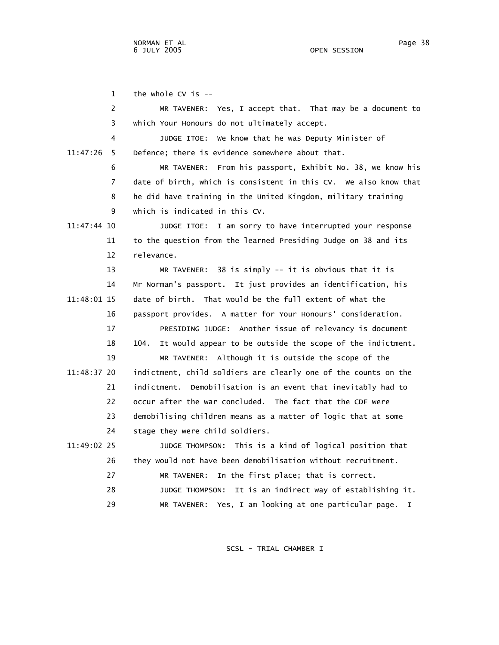1 the whole CV is --

 2 MR TAVENER: Yes, I accept that. That may be a document to 3 which Your Honours do not ultimately accept. 4 JUDGE ITOE: We know that he was Deputy Minister of 11:47:26 5 Defence; there is evidence somewhere about that. 6 MR TAVENER: From his passport, Exhibit No. 38, we know his 7 date of birth, which is consistent in this CV. We also know that 8 he did have training in the United Kingdom, military training 9 which is indicated in this CV. 11:47:44 10 JUDGE ITOE: I am sorry to have interrupted your response 11 to the question from the learned Presiding Judge on 38 and its 12 relevance. 13 MR TAVENER: 38 is simply -- it is obvious that it is 14 Mr Norman's passport. It just provides an identification, his 11:48:01 15 date of birth. That would be the full extent of what the 16 passport provides. A matter for Your Honours' consideration. 17 PRESIDING JUDGE: Another issue of relevancy is document 18 104. It would appear to be outside the scope of the indictment. 19 MR TAVENER: Although it is outside the scope of the 11:48:37 20 indictment, child soldiers are clearly one of the counts on the 21 indictment. Demobilisation is an event that inevitably had to 22 occur after the war concluded. The fact that the CDF were 23 demobilising children means as a matter of logic that at some 24 stage they were child soldiers. 11:49:02 25 JUDGE THOMPSON: This is a kind of logical position that 26 they would not have been demobilisation without recruitment. 27 MR TAVENER: In the first place; that is correct. 28 JUDGE THOMPSON: It is an indirect way of establishing it. 29 MR TAVENER: Yes, I am looking at one particular page. I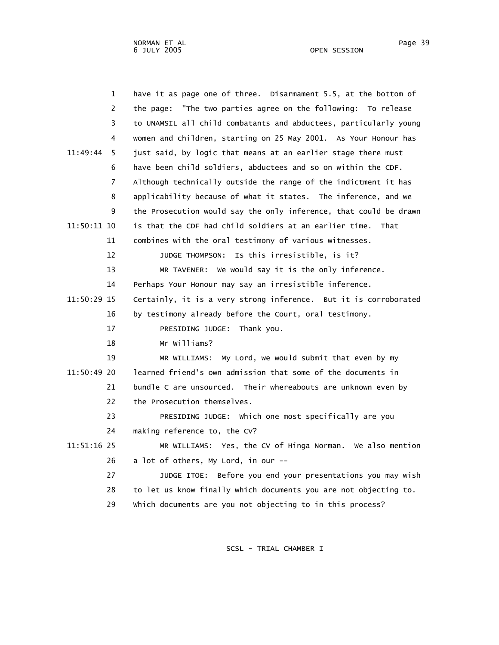| 1              | have it as page one of three. Disarmament 5.5, at the bottom of   |
|----------------|-------------------------------------------------------------------|
| 2              | the page: "The two parties agree on the following: To release     |
| 3              | to UNAMSIL all child combatants and abductees, particularly young |
| 4              | women and children, starting on 25 May 2001. As Your Honour has   |
| 11:49:44<br>5  | just said, by logic that means at an earlier stage there must     |
| 6              | have been child soldiers, abductees and so on within the CDF.     |
| $\overline{7}$ | Although technically outside the range of the indictment it has   |
| 8              | applicability because of what it states. The inference, and we    |
| 9              | the Prosecution would say the only inference, that could be drawn |
| 11:50:11 10    | is that the CDF had child soldiers at an earlier time. That       |
| 11             | combines with the oral testimony of various witnesses.            |
| 12             | JUDGE THOMPSON: Is this irresistible, is it?                      |
| 13             | MR TAVENER: We would say it is the only inference.                |
| 14             | Perhaps Your Honour may say an irresistible inference.            |
| 11:50:29 15    | Certainly, it is a very strong inference. But it is corroborated  |
| 16             | by testimony already before the Court, oral testimony.            |
| 17             | PRESIDING JUDGE: Thank you.                                       |
| 18             | Mr Williams?                                                      |
| 19             | MR WILLIAMS: My Lord, we would submit that even by my             |
| 11:50:49 20    | learned friend's own admission that some of the documents in      |
| 21             | bundle C are unsourced. Their whereabouts are unknown even by     |
| 22             | the Prosecution themselves.                                       |
| 23             | PRESIDING JUDGE: Which one most specifically are you              |
| 24             | making reference to, the CV?                                      |
| 11:51:16 25    | MR WILLIAMS: Yes, the CV of Hinga Norman. We also mention         |
| 26             | a lot of others, My Lord, in our --                               |
| 27             | JUDGE ITOE: Before you end your presentations you may wish        |
| 28             | to let us know finally which documents you are not objecting to.  |
| 29             | which documents are you not objecting to in this process?         |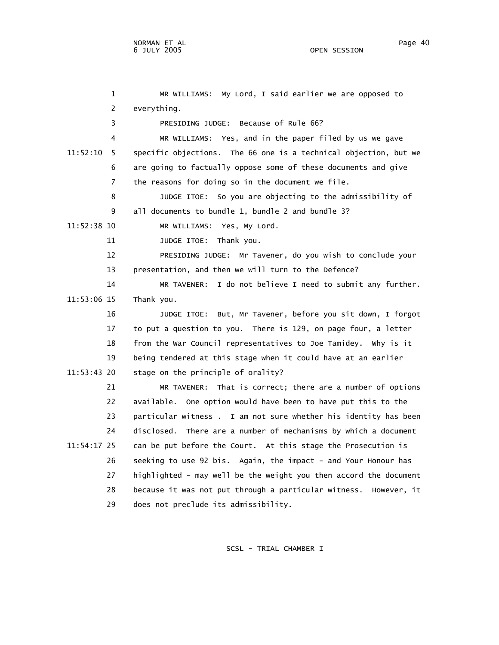1 MR WILLIAMS: My Lord, I said earlier we are opposed to 2 everything. 3 PRESIDING JUDGE: Because of Rule 66? 4 MR WILLIAMS: Yes, and in the paper filed by us we gave 11:52:10 5 specific objections. The 66 one is a technical objection, but we 6 are going to factually oppose some of these documents and give 7 the reasons for doing so in the document we file. 8 JUDGE ITOE: So you are objecting to the admissibility of 9 all documents to bundle 1, bundle 2 and bundle 3? 11:52:38 10 MR WILLIAMS: Yes, My Lord. 11 JUDGE ITOE: Thank you. 12 PRESIDING JUDGE: Mr Tavener, do you wish to conclude your 13 presentation, and then we will turn to the Defence? 14 MR TAVENER: I do not believe I need to submit any further. 11:53:06 15 Thank you. 16 JUDGE ITOE: But, Mr Tavener, before you sit down, I forgot 17 to put a question to you. There is 129, on page four, a letter 18 from the War Council representatives to Joe Tamidey. Why is it 19 being tendered at this stage when it could have at an earlier 11:53:43 20 stage on the principle of orality? 21 MR TAVENER: That is correct; there are a number of options 22 available. One option would have been to have put this to the 23 particular witness . I am not sure whether his identity has been 24 disclosed. There are a number of mechanisms by which a document 11:54:17 25 can be put before the Court. At this stage the Prosecution is 26 seeking to use 92 bis. Again, the impact - and Your Honour has 27 highlighted - may well be the weight you then accord the document 28 because it was not put through a particular witness. However, it 29 does not preclude its admissibility.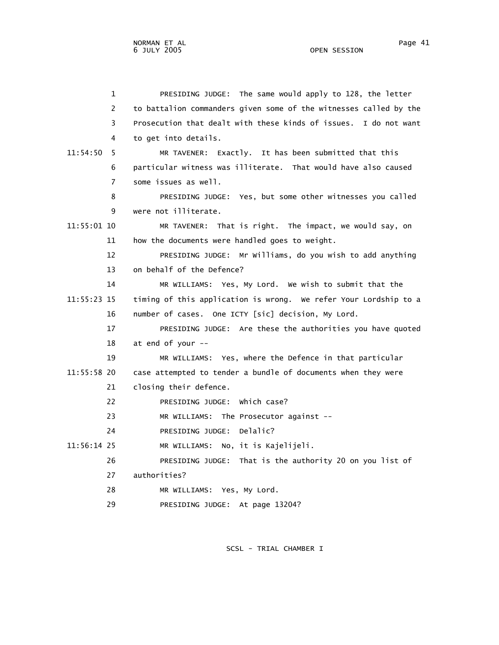1 PRESIDING JUDGE: The same would apply to 128, the letter 2 to battalion commanders given some of the witnesses called by the 3 Prosecution that dealt with these kinds of issues. I do not want 4 to get into details. 11:54:50 5 MR TAVENER: Exactly. It has been submitted that this 6 particular witness was illiterate. That would have also caused 7 some issues as well. 8 PRESIDING JUDGE: Yes, but some other witnesses you called 9 were not illiterate. 11:55:01 10 MR TAVENER: That is right. The impact, we would say, on 11 how the documents were handled goes to weight. 12 PRESIDING JUDGE: Mr Williams, do you wish to add anything 13 on behalf of the Defence? 14 MR WILLIAMS: Yes, My Lord. We wish to submit that the 11:55:23 15 timing of this application is wrong. We refer Your Lordship to a 16 number of cases. One ICTY [sic] decision, My Lord. 17 PRESIDING JUDGE: Are these the authorities you have quoted 18 at end of your -- 19 MR WILLIAMS: Yes, where the Defence in that particular 11:55:58 20 case attempted to tender a bundle of documents when they were 21 closing their defence. 22 PRESIDING JUDGE: Which case? 23 MR WILLIAMS: The Prosecutor against -- 24 PRESIDING JUDGE: Delalic? 11:56:14 25 MR WILLIAMS: No, it is Kajelijeli. 26 PRESIDING JUDGE: That is the authority 20 on you list of 27 authorities? 28 MR WILLIAMS: Yes, My Lord. 29 PRESIDING JUDGE: At page 13204?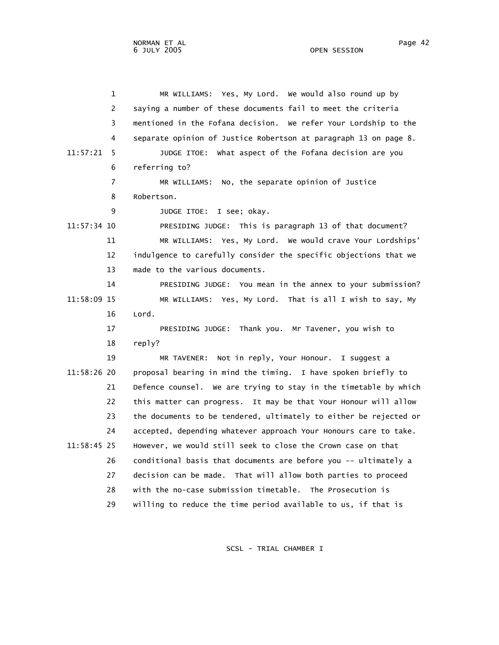1 MR WILLIAMS: Yes, My Lord. We would also round up by 2 saying a number of these documents fail to meet the criteria 3 mentioned in the Fofana decision. We refer Your Lordship to the 4 separate opinion of Justice Robertson at paragraph 13 on page 8. 11:57:21 5 JUDGE ITOE: What aspect of the Fofana decision are you 6 referring to? 7 MR WILLIAMS: No, the separate opinion of Justice 8 Robertson. 9 JUDGE ITOE: I see; okay. 11:57:34 10 PRESIDING JUDGE: This is paragraph 13 of that document? 11 MR WILLIAMS: Yes, My Lord. We would crave Your Lordships' 12 indulgence to carefully consider the specific objections that we 13 made to the various documents. 14 PRESIDING JUDGE: You mean in the annex to your submission? 11:58:09 15 MR WILLIAMS: Yes, My Lord. That is all I wish to say, My 16 Lord. 17 PRESIDING JUDGE: Thank you. Mr Tavener, you wish to 18 reply? 19 MR TAVENER: Not in reply, Your Honour. I suggest a 11:58:26 20 proposal bearing in mind the timing. I have spoken briefly to 21 Defence counsel. We are trying to stay in the timetable by which 22 this matter can progress. It may be that Your Honour will allow 23 the documents to be tendered, ultimately to either be rejected or 24 accepted, depending whatever approach Your Honours care to take. 11:58:45 25 However, we would still seek to close the Crown case on that 26 conditional basis that documents are before you -- ultimately a 27 decision can be made. That will allow both parties to proceed 28 with the no-case submission timetable. The Prosecution is 29 willing to reduce the time period available to us, if that is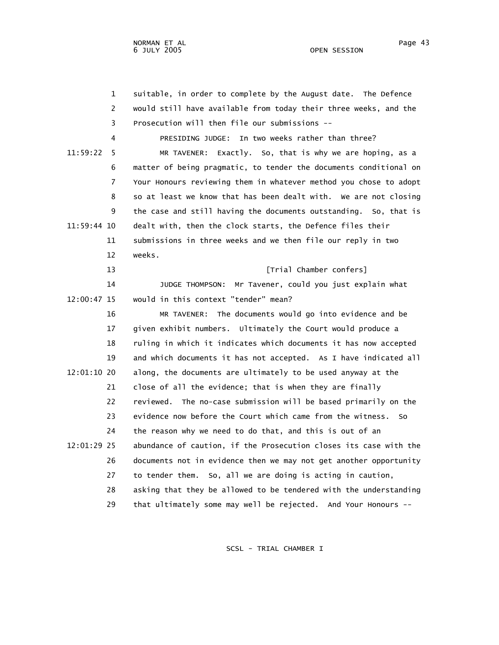1 suitable, in order to complete by the August date. The Defence 2 would still have available from today their three weeks, and the 3 Prosecution will then file our submissions -- 4 PRESIDING JUDGE: In two weeks rather than three? 11:59:22 5 MR TAVENER: Exactly. So, that is why we are hoping, as a 6 matter of being pragmatic, to tender the documents conditional on 7 Your Honours reviewing them in whatever method you chose to adopt 8 so at least we know that has been dealt with. We are not closing 9 the case and still having the documents outstanding. So, that is 11:59:44 10 dealt with, then the clock starts, the Defence files their 11 submissions in three weeks and we then file our reply in two 12 weeks. 13 **Interval Conferred** [Trial Chamber confers] 14 JUDGE THOMPSON: Mr Tavener, could you just explain what 12:00:47 15 would in this context "tender" mean? 16 MR TAVENER: The documents would go into evidence and be 17 given exhibit numbers. Ultimately the Court would produce a 18 ruling in which it indicates which documents it has now accepted 19 and which documents it has not accepted. As I have indicated all 12:01:10 20 along, the documents are ultimately to be used anyway at the 21 close of all the evidence; that is when they are finally 22 reviewed. The no-case submission will be based primarily on the 23 evidence now before the Court which came from the witness. So 24 the reason why we need to do that, and this is out of an 12:01:29 25 abundance of caution, if the Prosecution closes its case with the 26 documents not in evidence then we may not get another opportunity 27 to tender them. So, all we are doing is acting in caution, 28 asking that they be allowed to be tendered with the understanding 29 that ultimately some may well be rejected. And Your Honours --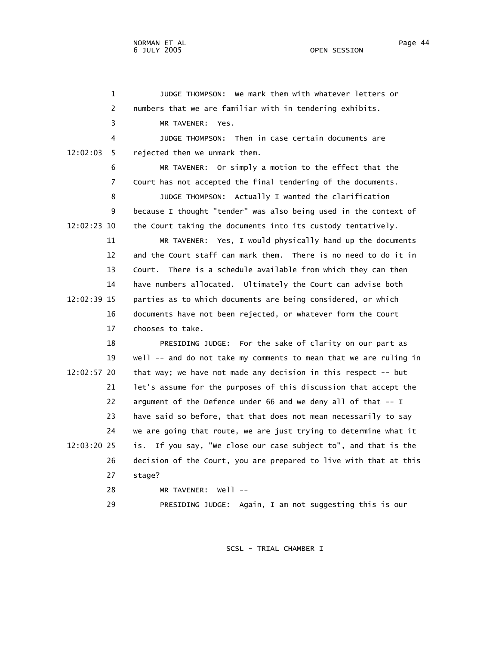1 JUDGE THOMPSON: We mark them with whatever letters or 2 numbers that we are familiar with in tendering exhibits. 3 MR TAVENER: Yes. 4 JUDGE THOMPSON: Then in case certain documents are 12:02:03 5 rejected then we unmark them. 6 MR TAVENER: Or simply a motion to the effect that the 7 Court has not accepted the final tendering of the documents. 8 JUDGE THOMPSON: Actually I wanted the clarification 9 because I thought "tender" was also being used in the context of 12:02:23 10 the Court taking the documents into its custody tentatively. 11 MR TAVENER: Yes, I would physically hand up the documents 12 and the Court staff can mark them. There is no need to do it in 13 Court. There is a schedule available from which they can then 14 have numbers allocated. Ultimately the Court can advise both 12:02:39 15 parties as to which documents are being considered, or which 16 documents have not been rejected, or whatever form the Court 17 chooses to take. 18 PRESIDING JUDGE: For the sake of clarity on our part as 19 well -- and do not take my comments to mean that we are ruling in 12:02:57 20 that way; we have not made any decision in this respect -- but 21 let's assume for the purposes of this discussion that accept the 22 argument of the Defence under 66 and we deny all of that -- I 23 have said so before, that that does not mean necessarily to say 24 we are going that route, we are just trying to determine what it 12:03:20 25 is. If you say, "We close our case subject to", and that is the 26 decision of the Court, you are prepared to live with that at this 27 stage? 28 MR TAVENER: Well -- 29 PRESIDING JUDGE: Again, I am not suggesting this is our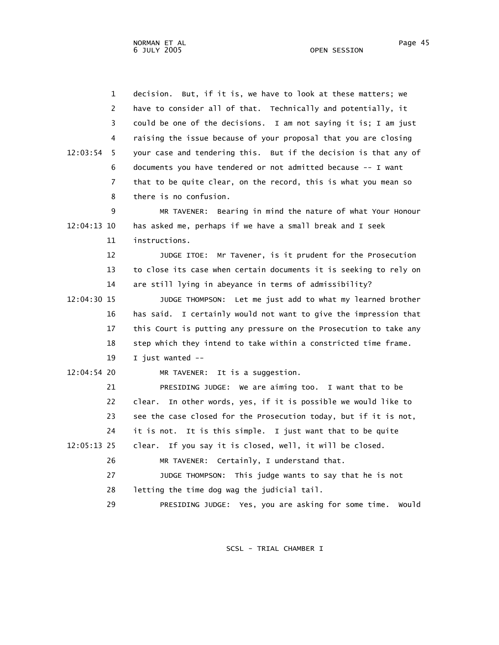NORMAN ET AL Page 45 Page 45 6 JULY 2005 OPEN SESSION

| $\mathbf{1}$   | decision. But, if it is, we have to look at these matters; we     |
|----------------|-------------------------------------------------------------------|
| 2              | have to consider all of that. Technically and potentially, it     |
| 3              | could be one of the decisions. I am not saying it is; I am just   |
| 4              | raising the issue because of your proposal that you are closing   |
| 12:03:54<br>5  | your case and tendering this. But if the decision is that any of  |
| 6              | documents you have tendered or not admitted because -- I want     |
| $\overline{7}$ | that to be quite clear, on the record, this is what you mean so   |
| 8              | there is no confusion.                                            |
| 9              | MR TAVENER: Bearing in mind the nature of what Your Honour        |
| 12:04:13 10    | has asked me, perhaps if we have a small break and I seek         |
| 11             | instructions.                                                     |
| 12             | Mr Tavener, is it prudent for the Prosecution<br>JUDGE ITOE:      |
| 13             | to close its case when certain documents it is seeking to rely on |
| 14             | are still lying in abeyance in terms of admissibility?            |
| 12:04:30 15    | JUDGE THOMPSON: Let me just add to what my learned brother        |
| 16             | has said. I certainly would not want to give the impression that  |
| 17             | this Court is putting any pressure on the Prosecution to take any |
| 18             | step which they intend to take within a constricted time frame.   |
| 19             | I just wanted --                                                  |
| 12:04:54 20    | It is a suggestion.<br>MR TAVENER:                                |
| 21             | PRESIDING JUDGE: We are aiming too. I want that to be             |
| 22             | In other words, yes, if it is possible we would like to<br>clear. |
| 23             | see the case closed for the Prosecution today, but if it is not,  |
| 24             | it is not. It is this simple. I just want that to be quite        |
| 12:05:13 25    | clear. If you say it is closed, well, it will be closed.          |
| 26             | MR TAVENER: Certainly, I understand that.                         |
| 27             | JUDGE THOMPSON: This judge wants to say that he is not            |
| 28             | letting the time dog wag the judicial tail.                       |
| 29             | PRESIDING JUDGE: Yes, you are asking for some time.<br>would      |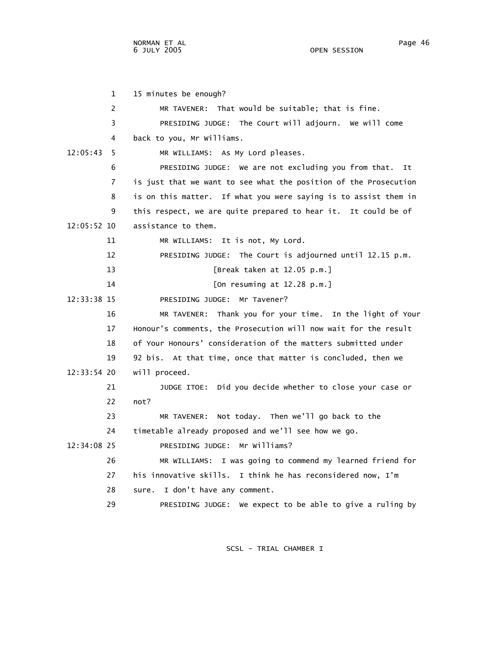NORMAN ET AL
Page 46

 1 15 minutes be enough? 2 MR TAVENER: That would be suitable; that is fine. 3 PRESIDING JUDGE: The Court will adjourn. We will come 4 back to you, Mr Williams. 12:05:43 5 MR WILLIAMS: As My Lord pleases. 6 PRESIDING JUDGE: We are not excluding you from that. It 7 is just that we want to see what the position of the Prosecution 8 is on this matter. If what you were saying is to assist them in 9 this respect, we are quite prepared to hear it. It could be of 12:05:52 10 assistance to them. 11 MR WILLIAMS: It is not, My Lord. 12 PRESIDING JUDGE: The Court is adjourned until 12.15 p.m. 13 [Break taken at 12.05 p.m.] 14 [On resuming at 12.28 p.m.] 12:33:38 15 PRESIDING JUDGE: Mr Tavener? 16 MR TAVENER: Thank you for your time. In the light of Your 17 Honour's comments, the Prosecution will now wait for the result 18 of Your Honours' consideration of the matters submitted under 19 92 bis. At that time, once that matter is concluded, then we 12:33:54 20 will proceed. 21 JUDGE ITOE: Did you decide whether to close your case or 22 not? 23 MR TAVENER: Not today. Then we'll go back to the 24 timetable already proposed and we'll see how we go. 12:34:08 25 PRESIDING JUDGE: Mr Williams? 26 MR WILLIAMS: I was going to commend my learned friend for 27 his innovative skills. I think he has reconsidered now, I'm 28 sure. I don't have any comment. 29 PRESIDING JUDGE: We expect to be able to give a ruling by